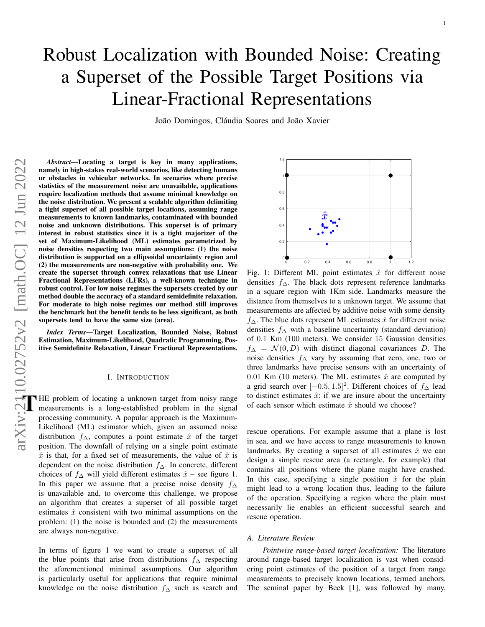# Robust Localization with Bounded Noise: Creating a Superset of the Possible Target Positions via Linear-Fractional Representations

João Domingos, Cláudia Soares and João Xavier

*Abstract*—Locating a target is key in many applications, namely in high-stakes real-world scenarios, like detecting humans or obstacles in vehicular networks. In scenarios where precise statistics of the measurement noise are unavailable, applications require localization methods that assume minimal knowledge on the noise distribution. We present a scalable algorithm delimiting a tight superset of all possible target locations, assuming range measurements to known landmarks, contaminated with bounded noise and unknown distributions. This superset is of primary interest in robust statistics since it is a tight majorizer of the set of Maximum-Likelihood (ML) estimates parametrized by noise densities respecting two main assumptions: (1) the noise distribution is supported on a ellipsoidal uncertainty region and (2) the measurements are non-negative with probability one. We create the superset through convex relaxations that use Linear Fractional Representations (LFRs), a well-known technique in robust control. For low noise regimes the supersets created by our method double the accuracy of a standard semidefinite relaxation. For moderate to high noise regimes our method still improves the benchmark but the benefit tends to be less significant, as both supersets tend to have the same size (area).

*Index Terms*—Target Localization, Bounded Noise, Robust Estimation, Maximum-Likelihood, Quadratic Programming, Positive Semidefinite Relaxation, Linear Fractional Representations.

#### I. INTRODUCTION

HE problem of locating a unknown target from noisy range measurements is a long-established problem in the signal processing community. A popular approach is the Maximum-Likelihood (ML) estimator which, given an assumed noise distribution  $f_{\Delta}$ , computes a point estimate  $\hat{x}$  of the target position. The downfall of relying on a single point estimate  $\hat{x}$  is that, for a fixed set of measurements, the value of  $\hat{x}$  is dependent on the noise distribution  $f_\Delta$ . In concrete, different choices of  $f_\Delta$  will yield different estimates  $\hat{x}$  – see figure 1. In this paper we assume that a precise noise density  $f_$ Delta is unavailable and, to overcome this challenge, we propose an algorithm that creates a superset of all possible target estimates  $\hat{x}$  consistent with two minimal assumptions on the problem: (1) the noise is bounded and (2) the measurements are always non-negative.

In terms of figure 1 we want to create a superset of all the blue points that arise from distributions  $f_{\Delta}$  respecting the aforementioned minimal assumptions. Our algorithm is particularly useful for applications that require minimal knowledge on the noise distribution  $f_\Delta$  such as search and



1

Fig. 1: Different ML point estimates  $\hat{x}$  for different noise densities  $f_\Delta$ . The black dots represent reference landmarks in a square region with 1Km side. Landmarks measure the distance from themselves to a unknown target. We assume that measurements are affected by additive noise with some density  $f_\Delta$ . The blue dots represent ML estimates  $\hat{x}$  for different noise densities  $f_\Delta$  with a baseline uncertainty (standard deviation) of 0.1 Km (100 meters). We consider 15 Gaussian densities  $f_\Delta = \mathcal{N}(0, D)$  with distinct diagonal covariances D. The noise densities  $f_\Delta$  vary by assuming that zero, one, two or three landmarks have precise sensors with an uncertainty of 0.01 Km (10 meters). The ML estimates  $\hat{x}$  are computed by a grid search over  $[-0.5, 1.5]^2$ . Different choices of  $f_0$  lead to distinct estimates  $\hat{x}$ : if we are insure about the uncertainty of each sensor which estimate  $\hat{x}$  should we choose?

rescue operations. For example assume that a plane is lost in sea, and we have access to range measurements to known landmarks. By creating a superset of all estimates  $\hat{x}$  we can design a simple rescue area (a rectangle, for example) that contains all positions where the plane might have crashed. In this case, specifying a single position  $\hat{x}$  for the plain might lead to a wrong location thus, leading to the failure of the operation. Specifying a region where the plain must necessarily lie enables an efficient successful search and rescue operation.

#### *A. Literature Review*

*Pointwise range-based target localization:* The literature around range-based target localization is vast when considering point estimates of the position of a target from range measurements to precisely known locations, termed anchors. The seminal paper by Beck [1], was followed by many,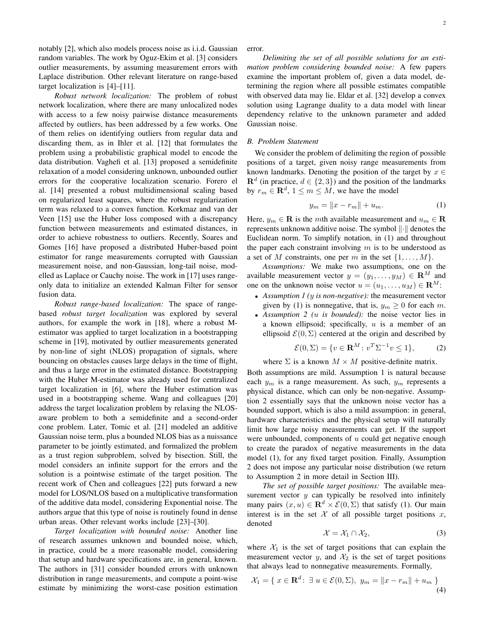notably [2], which also models process noise as i.i.d. Gaussian random variables. The work by Oguz-Ekim et al. [3] considers outlier measurements, by assuming measurement errors with Laplace distribution. Other relevant literature on range-based target localization is [4]–[11].

*Robust network localization:* The problem of robust network localization, where there are many unlocalized nodes with access to a few noisy pairwise distance measurements affected by outliers, has been addressed by a few works. One of them relies on identifying outliers from regular data and discarding them, as in Ihler et al. [12] that formulates the problem using a probabilistic graphical model to encode the data distribution. Vaghefi et al. [13] proposed a semidefinite relaxation of a model considering unknown, unbounded outlier errors for the cooperative localization scenario. Forero el al. [14] presented a robust multidimensional scaling based on regularized least squares, where the robust regularization term was relaxed to a convex function. Korkmaz and van der Veen [15] use the Huber loss composed with a discrepancy function between measurements and estimated distances, in order to achieve robustness to outliers. Recently, Soares and Gomes [16] have proposed a distributed Huber-based point estimator for range measurements corrupted with Gaussian measurement noise, and non-Gaussian, long-tail noise, modelled as Laplace or Cauchy noise. The work in [17] uses rangeonly data to initialize an extended Kalman Filter for sensor fusion data.

*Robust range-based localization:* The space of rangebased *robust target localization* was explored by several authors, for example the work in [18], where a robust Mestimator was applied to target localization in a bootstrapping scheme in [19], motivated by outlier measurements generated by non-line of sight (NLOS) propagation of signals, where bouncing on obstacles causes large delays in the time of flight, and thus a large error in the estimated distance. Bootstrapping with the Huber M-estimator was already used for centralized target localization in [6], where the Huber estimation was used in a bootstrapping scheme. Wang and colleagues [20] address the target localization problem by relaxing the NLOSaware problem to both a semidefinite and a second-order cone problem. Later, Tomic et al. [21] modeled an additive Gaussian noise term, plus a bounded NLOS bias as a nuissance parameter to be jointly estimated, and formalized the problem as a trust region subproblem, solved by bisection. Still, the model considers an infinite support for the errors and the solution is a pointwise estimate of the target position. The recent work of Chen and colleagues [22] puts forward a new model for LOS/NLOS based on a multiplicative transformation of the additive data model, considering Exponential noise. The authors argue that this type of noise is routinely found in dense urban areas. Other relevant works include [23]–[30].

*Target localization with bounded noise:* Another line of research assumes unknown and bounded noise, which, in practice, could be a more reasonable model, considering that setup and hardware specifications are, in general, known. The authors in [31] consider bounded errors with unknown distribution in range measurements, and compute a point-wise estimate by minimizing the worst-case position estimation error.

*Delimiting the set of all possible solutions for an estimation problem considering bounded noise:* A few papers examine the important problem of, given a data model, determining the region where all possible estimates compatible with observed data may lie. Eldar et al. [32] develop a convex solution using Lagrange duality to a data model with linear dependency relative to the unknown parameter and added Gaussian noise.

## *B. Problem Statement*

We consider the problem of delimiting the region of possible positions of a target, given noisy range measurements from known landmarks. Denoting the position of the target by  $x \in$  $\mathbf{R}^{d}$  (in practice,  $d \in \{2,3\}$ ) and the position of the landmarks by  $r_m \in \mathbf{R}^d$ ,  $1 \le m \le M$ , we have the model

$$
y_m = \|x - r_m\| + u_m. \tag{1}
$$

Here,  $y_m \in \mathbf{R}$  is the mth available measurement and  $u_m \in \mathbf{R}$ represents unknown additive noise. The symbol  $\|\cdot\|$  denotes the Euclidean norm. To simplify notation, in (1) and throughout the paper each constraint involving  $m$  is to be understood as a set of M constraints, one per m in the set  $\{1, \ldots, M\}$ .

*Assumptions:* We make two assumptions, one on the available measurement vector  $y = (y_1, \ldots, y_M) \in \mathbb{R}^M$  and one on the unknown noise vector  $u = (u_1, \dots, u_M) \in \mathbb{R}^M$ :

- *Assumption 1 (*y *is non-negative):* the measurement vector given by (1) is nonnegative, that is,  $y_m \geq 0$  for each m.
- *Assumption 2 (*u *is bounded):* the noise vector lies in a known ellipsoid; specifically,  $u$  is a member of an ellipsoid  $\mathcal{E}(0, \Sigma)$  centered at the origin and described by

$$
\mathcal{E}(0, \Sigma) = \{ v \in \mathbf{R}^M \colon v^T \Sigma^{-1} v \le 1 \},\tag{2}
$$

where  $\Sigma$  is a known  $M \times M$  positive-definite matrix.

Both assumptions are mild. Assumption 1 is natural because each  $y_m$  is a range measurement. As such,  $y_m$  represents a physical distance, which can only be non-negative. Assumption 2 essentially says that the unknown noise vector has a bounded support, which is also a mild assumption: in general, hardware characteristics and the physical setup will naturally limit how large noisy measurements can get. If the support were unbounded, components of  $u$  could get negative enough to create the paradox of negative measurements in the data model (1), for any fixed target position. Finally, Assumption 2 does not impose any particular noise distribution (we return to Assumption 2 in more detail in Section III).

*The set of possible target positions:* The available measurement vector  $y$  can typically be resolved into infinitely many pairs  $(x, u) \in \mathbf{R}^d \times \mathcal{E}(0, \Sigma)$  that satisfy (1). Our main interest is in the set  $X$  of all possible target positions  $x$ , denoted

$$
\mathcal{X} = \mathcal{X}_1 \cap \mathcal{X}_2,\tag{3}
$$

where  $X_1$  is the set of target positions that can explain the measurement vector  $y$ , and  $\mathcal{X}_2$  is the set of target positions that always lead to nonnegative measurements. Formally,

$$
\mathcal{X}_1 = \{ x \in \mathbf{R}^d \colon \exists u \in \mathcal{E}(0, \Sigma), y_m = ||x - r_m|| + u_m \}
$$
\n(4)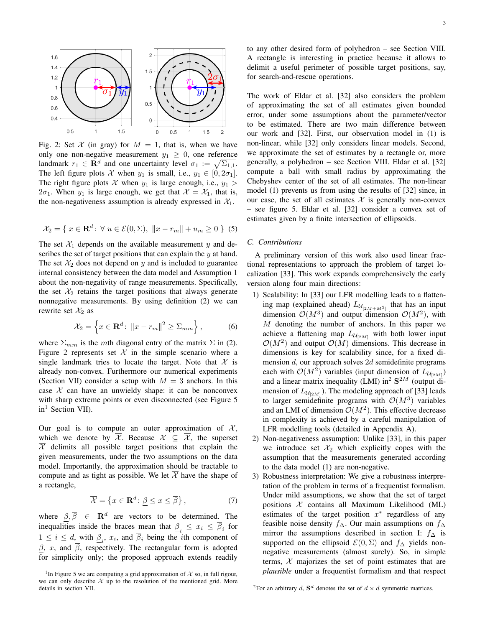

Fig. 2: Set X (in gray) for  $M = 1$ , that is, when we have only one non-negative measurement  $y_1 \geq 0$ , one reference landmark  $r_1 \in \mathbf{R}^d$  and one uncertainty level  $\sigma_1 := \sqrt{\Sigma_{1,1}}$ . The left figure plots X when  $y_1$  is small, i.e.,  $y_1 \in [0, 2\sigma_1]$ . The right figure plots X when  $y_1$  is large enough, i.e.,  $y_1 >$  $2\sigma_1$ . When  $y_1$  is large enough, we get that  $\mathcal{X} = \mathcal{X}_1$ , that is, the non-negativeness assumption is already expressed in  $X_1$ .

$$
\mathcal{X}_2 = \{ x \in \mathbf{R}^d \colon \forall u \in \mathcal{E}(0, \Sigma), ||x - r_m|| + u_m \ge 0 \}
$$
(5)

The set  $X_1$  depends on the available measurement y and describes the set of target positions that can explain the  $y$  at hand. The set  $\mathcal{X}_2$  does not depend on y and is included to guarantee internal consistency between the data model and Assumption 1 about the non-negativity of range measurements. Specifically, the set  $\mathcal{X}_2$  retains the target positions that always generate nonnegative measurements. By using definition (2) we can rewrite set  $\mathcal{X}_2$  as

$$
\mathcal{X}_2 = \left\{ x \in \mathbf{R}^d \colon \|x - r_m\|^2 \ge \Sigma_{mm} \right\},\tag{6}
$$

where  $\Sigma_{mm}$  is the mth diagonal entry of the matrix  $\Sigma$  in (2). Figure 2 represents set  $X$  in the simple scenario where a single landmark tries to locate the target. Note that  $\mathcal X$  is already non-convex. Furthermore our numerical experiments (Section VII) consider a setup with  $M = 3$  anchors. In this case  $X$  can have an unwieldy shape: it can be nonconvex with sharp extreme points or even disconnected (see Figure 5  $in<sup>1</sup>$  Section VII).

Our goal is to compute an outer approximation of  $\mathcal{X}$ , which we denote by  $\overline{\mathcal{X}}$ . Because  $\mathcal{X} \subseteq \overline{\mathcal{X}}$ , the superset  $X$  delimits all possible target positions that explain the given measurements, under the two assumptions on the data model. Importantly, the approximation should be tractable to compute and as tight as possible. We let  $\overline{\mathcal{X}}$  have the shape of a rectangle,

$$
\overline{\mathcal{X}} = \left\{ x \in \mathbf{R}^d \colon \underline{\beta} \le x \le \overline{\beta} \right\},\tag{7}
$$

where  $\beta$ ,  $\overline{\beta}$   $\in$   $\mathbf{R}^{d}$  are vectors to be determined. The inequalities inside the braces mean that  $\mathcal{L}_i \leq x_i \leq \mathcal{L}_i$  for  $1 \leq i \leq d$ , with  $\beta_i$ ,  $x_i$ , and  $\overline{\beta}_i$  being the *i*th component of  $\beta$ , x, and  $\overline{\beta}$ , respectively. The rectangular form is adopted for simplicity only; the proposed approach extends readily to any other desired form of polyhedron – see Section VIII. A rectangle is interesting in practice because it allows to delimit a useful perimeter of possible target positions, say, for search-and-rescue operations.

The work of Eldar et al. [32] also considers the problem of approximating the set of all estimates given bounded error, under some assumptions about the parameter/vector to be estimated. There are two main difference between our work and [32]. First, our observation model in (1) is non-linear, while [32] only considers linear models. Second, we approximate the set of estimates by a rectangle or, more generally, a polyhedron – see Section VIII. Eldar et al. [32] compute a ball with small radius by approximating the Chebyshev center of the set of all estimates. The non-linear model (1) prevents us from using the results of [32] since, in our case, the set of all estimates  $X$  is generally non-convex – see figure 5. Eldar et al. [32] consider a convex set of estimates given by a finite intersection of ellipsoids.

## *C. Contributions*

A preliminary version of this work also used linear fractional representations to approach the problem of target localization [33]. This work expands comprehensively the early version along four main directions:

- 1) Scalability: In [33] our LFR modelling leads to a flattening map (explained ahead)  $L_{\mathcal{U}_{[2M+M^2]}}$  that has an input dimension  $\mathcal{O}(M^3)$  and output dimension  $\mathcal{O}(M^2)$ , with  $M$  denoting the number of anchors. In this paper we achieve a flattening map  $L_{\mathcal{U}_{[2M]}}$  with both lower input  $\mathcal{O}(M^2)$  and output  $\mathcal{O}(M)$  dimensions. This decrease in dimensions is key for scalability since, for a fixed dimension d, our approach solves 2d semidefinite programs each with  $\mathcal{O}(M^2)$  variables (input dimension of  $L_{\mathcal{U}_{[2M]}}$ ) and a linear matrix inequality (LMI) in<sup>2</sup>  $S<sup>2M</sup>$  (output dimension of  $L_{\mathcal{U}_{[2M]}}$ ). The modeling approach of [33] leads to larger semidefinite programs with  $\mathcal{O}(M^3)$  variables and an LMI of dimension  $\mathcal{O}(M^2)$ . This effective decrease in complexity is achieved by a careful manipulation of LFR modelling tools (detailed in Appendix A).
- 2) Non-negativeness assumption: Unlike [33], in this paper we introduce set  $\mathcal{X}_2$  which explicitly copes with the assumption that the measurements generated according to the data model (1) are non-negative.
- 3) Robustness interpretation: We give a robustness interpretation of the problem in terms of a frequentist formalism. Under mild assumptions, we show that the set of target positions  $X$  contains all Maximum Likelihood (ML) estimates of the target position  $x^*$  regardless of any feasible noise density  $f_\Delta$ . Our main assumptions on  $f_\Delta$ mirror the assumptions described in section I:  $f_{\Delta}$  is supported on the ellipsoid  $\mathcal{E}(0, \Sigma)$  and  $f_{\Delta}$  yields nonnegative measurements (almost surely). So, in simple terms,  $X$  majorizes the set of point estimates that are *plausible* under a frequentist formalism and that respect

<sup>2</sup>For an arbitrary d,  $S^d$  denotes the set of  $d \times d$  symmetric matrices.

<sup>&</sup>lt;sup>1</sup>In Figure 5 we are computing a grid approximation of  $X$  so, in full rigour, we can only describe  $\mathcal X$  up to the resolution of the mentioned grid. More details in section VII.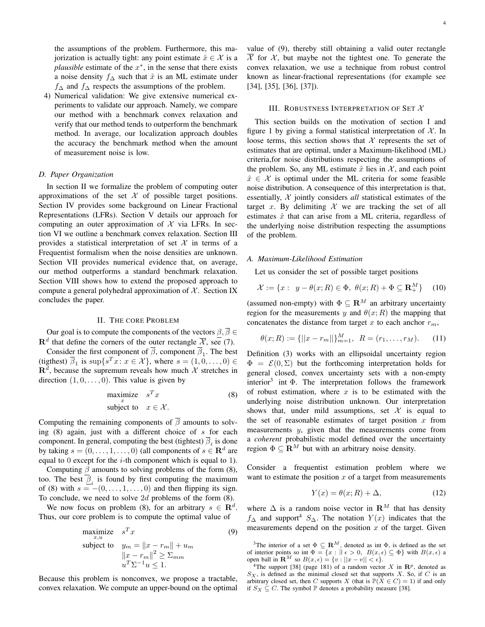the assumptions of the problem. Furthermore, this majorization is actually tight: any point estimate  $\hat{x} \in \mathcal{X}$  is a *plausible* estimate of the  $x^*$ , in the sense that there exists a noise density  $f_\Delta$  such that  $\hat{x}$  is an ML estimate under  $f_{\Delta}$  and  $f_{\Delta}$  respects the assumptions of the problem.

4) Numerical validation: We give extensive numerical experiments to validate our approach. Namely, we compare our method with a benchmark convex relaxation and verify that our method tends to outperform the benchmark method. In average, our localization approach doubles the accuracy the benchmark method when the amount of measurement noise is low.

#### *D. Paper Organization*

In section II we formalize the problem of computing outer approximations of the set  $X$  of possible target positions. Section IV provides some background on Linear Fractional Representations (LFRs). Section V details our approach for computing an outer approximation of  $X$  via LFRs. In section VI we outline a benchmark convex relaxation. Section III provides a statistical interpretation of set  $X$  in terms of a Frequentist formalism when the noise densities are unknown. Section VII provides numerical evidence that, on average, our method outperforms a standard benchmark relaxation. Section VIII shows how to extend the proposed approach to compute a general polyhedral approximation of  $X$ . Section IX concludes the paper.

## II. THE CORE PROBLEM

Our goal is to compute the components of the vectors  $\beta$ ,  $\overline{\beta} \in$  $\mathbf{R}^d$  that define the corners of the outer rectangle  $\overline{\mathcal{X}}$ , see (7).

Consider the first component of  $\beta$ , component  $\beta_1$ . The best (tigthest)  $\overline{\beta}_1$  is  $\sup\{s^T x : x \in \mathcal{X}\}\$ , where  $s = (1, 0, \dots, 0) \in$  $\mathbf{R}^{d}$ , because the supremum reveals how much X stretches in direction  $(1, 0, \ldots, 0)$ . This value is given by

$$
\begin{array}{ll}\n\text{maximize} & s^T x \\
\text{subject to} & x \in \mathcal{X}.\n\end{array} \tag{8}
$$

Computing the remaining components of  $\overline{\beta}$  amounts to solving  $(8)$  again, just with a different choice of s for each component. In general, computing the best (tightest)  $\beta_i$  is done by taking  $s = (0, \ldots, 1, \ldots, 0)$  (all components of  $s \in \mathbb{R}^d$  are equal to 0 except for the  $i$ -th component which is equal to 1).

Computing  $\beta$  amounts to solving problems of the form (8), too. The best  $\beta_i$  is found by first computing the maximum of (8) with  $s = -(0, \ldots, 1, \ldots, 0)$  and then flipping its sign. To conclude, we need to solve 2d problems of the form (8).

We now focus on problem (8), for an arbitrary  $s \in \mathbb{R}^d$ . Thus, our core problem is to compute the optimal value of

maximize 
$$
s^T x
$$
 (9)  
\nsubject to  $y_m = ||x - r_m|| + u_m$   
\n $||x - r_m||^2 \ge \sum_{mm}$   
\n $u^T \Sigma^{-1} u \le 1$ .

Because this problem is nonconvex, we propose a tractable, convex relaxation. We compute an upper-bound on the optimal

value of (9), thereby still obtaining a valid outer rectangle  $\overline{\mathcal{X}}$  for  $\mathcal{X}$ , but maybe not the tightest one. To generate the convex relaxation, we use a technique from robust control known as linear-fractional representations (for example see [34], [35], [36], [37]).

## III. ROBUSTNESS INTERPRETATION OF SET X

This section builds on the motivation of section I and figure 1 by giving a formal statistical interpretation of  $\mathcal{X}$ . In loose terms, this section shows that  $X$  represents the set of estimates that are optimal, under a Maximum-likelihood (ML) criteria,for noise distributions respecting the assumptions of the problem. So, any ML estimate  $\hat{x}$  lies in X, and each point  $\hat{x} \in \mathcal{X}$  is optimal under the ML criteria for some feasible noise distribution. A consequence of this interpretation is that, essentially, X jointly considers *all* statistical estimates of the target x. By delimiting  $X$  we are tracking the set of all estimates  $\hat{x}$  that can arise from a ML criteria, regardless of the underlying noise distribution respecting the assumptions of the problem.

#### *A. Maximum-Likelihood Estimation*

Let us consider the set of possible target positions

$$
\mathcal{X} := \{x : y - \theta(x; R) \in \Phi, \ \theta(x; R) + \Phi \subseteq \mathbf{R}_+^M\} \tag{10}
$$

(assumed non-empty) with  $\Phi \subset \mathbb{R}^M$  an arbitrary uncertainty region for the measurements y and  $\theta(x; R)$  the mapping that concatenates the distance from target x to each anchor  $r_m$ ,

$$
\theta(x;R) := \{ ||x - r_m|| \}_{m=1}^M, \ R = (r_1, \dots, r_M). \tag{11}
$$

Definition (3) works with an ellipsoidal uncertainty region  $\Phi = \mathcal{E}(0, \Sigma)$  but the forthcoming interpretation holds for general closed, convex uncertainty sets with a non-empty interior<sup>3</sup> int  $\Phi$ . The interpretation follows the framework of robust estimation, where  $x$  is to be estimated with the underlying noise distribution unknown. Our interpretation shows that, under mild assumptions, set  $\mathcal X$  is equal to the set of reasonable estimates of target position  $x$  from measurements y, given that the measurements come from a *coherent* probabilistic model defined over the uncertainty region  $\Phi \subseteq \mathbb{R}^M$  but with an arbitrary noise density.

Consider a frequentist estimation problem where we want to estimate the position  $x$  of a target from measurements

$$
Y(x) = \theta(x; R) + \Delta,\tag{12}
$$

where  $\Delta$  is a random noise vector in  $\mathbf{R}^M$  that has density  $f_\Delta$  and support<sup>4</sup> S<sub>△</sub>. The notation  $Y(x)$  indicates that the measurements depend on the position  $x$  of the target. Given

<sup>&</sup>lt;sup>3</sup>The interior of a set  $\Phi \subseteq \mathbf{R}^M$ , denoted as int  $\Phi$ , is defined as the set of interior points so int  $\Phi = \{x : \exists \epsilon > 0, B(x, \epsilon) \subseteq \Phi\}$  with  $B(x, \epsilon)$  a open ball in  $\mathbb{R}^M$  so  $B(x, \epsilon) = \{v : ||x - v|| < \epsilon\}$ .

<sup>&</sup>lt;sup>4</sup>The support [38] (page 181) of a random vector X in  $\mathbb{R}^p$ , denoted as  $S_X$ , is defined as the minimal closed set that supports X. So, if C is an arbitrary closed set, then C supports X (that is  $\mathbb{P}(X \in C) = 1$ ) if and only if  $S_X \subseteq C$ . The symbol  $\mathbb P$  denotes a probability measure [38].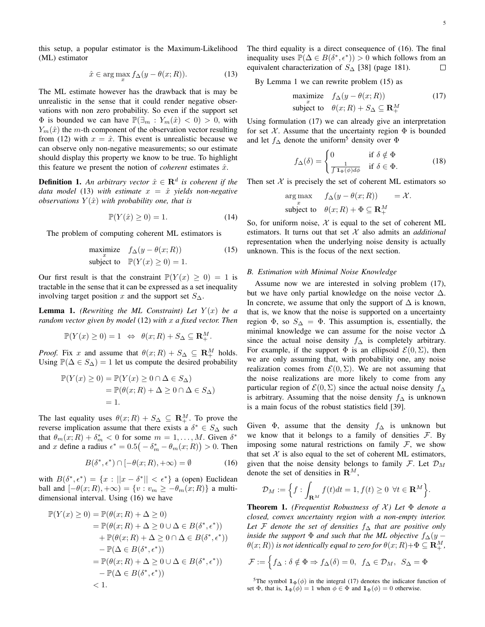this setup, a popular estimator is the Maximum-Likelihood (ML) estimator

$$
\hat{x} \in \arg\max_{x} f_{\Delta}(y - \theta(x; R)). \tag{13}
$$

The ML estimate however has the drawback that is may be unrealistic in the sense that it could render negative observations with non zero probability. So even if the support set  $\Phi$  is bounded we can have  $\mathbb{P}(\exists_m : Y_m(\hat{x}) < 0) > 0$ , with  $Y_m(\hat{x})$  the m-th component of the observation vector resulting from (12) with  $x = \hat{x}$ . This event is unrealistic because we can observe only non-negative measurements; so our estimate should display this property we know to be true. To highlight this feature we present the notion of *coherent* estimates  $\hat{x}$ .

**Definition 1.** An arbitrary vector  $\hat{x} \in \mathbb{R}^d$  is coherent if the *data model* (13) *with estimate*  $x = \hat{x}$  *yields non-negative observations*  $Y(\hat{x})$  *with probability one, that is* 

$$
\mathbb{P}(Y(\hat{x}) \ge 0) = 1. \tag{14}
$$

The problem of computing coherent ML estimators is

$$
\begin{array}{ll}\text{maximize} & f_{\Delta}(y - \theta(x; R))\\ \text{subject to} & \mathbb{P}(Y(x) \ge 0) = 1. \end{array} \tag{15}
$$

Our first result is that the constraint  $\mathbb{P}(Y(x) \geq 0) = 1$  is tractable in the sense that it can be expressed as a set inequality involving target position x and the support set  $S_{\Delta}$ .

**Lemma 1.** *(Rewriting the ML Constraint) Let*  $Y(x)$  *be a random vector given by model* (12) *with* x *a fixed vector. Then*

$$
\mathbb{P}(Y(x) \ge 0) = 1 \iff \theta(x; R) + S_{\Delta} \subseteq \mathbf{R}_{+}^{M}.
$$

*Proof.* Fix x and assume that  $\theta(x; R) + S_{\Delta} \subseteq \mathbb{R}^M_+$  holds. Using  $\mathbb{P}(\Delta \in S_{\Delta}) = 1$  let us compute the desired probability

$$
\mathbb{P}(Y(x) \ge 0) = \mathbb{P}(Y(x) \ge 0 \cap \Delta \in S_{\Delta})
$$
  
=  $\mathbb{P}(\theta(x; R) + \Delta \ge 0 \cap \Delta \in S_{\Delta})$   
= 1.

The last equality uses  $\theta(x;R) + S_{\Delta} \subseteq \mathbb{R}^M_+$ . To prove the reverse implication assume that there exists a  $\delta^* \in S_{\Delta}$  such that  $\theta_m(x;R) + \delta_m^* < 0$  for some  $m = 1, ..., M$ . Given  $\delta^*$ and x define a radius  $\epsilon^* = 0.5(-\delta_m^* - \theta_m(x; R)) > 0$ . Then

$$
B(\delta^*, \epsilon^*) \cap [-\theta(x; R), +\infty) = \emptyset \tag{16}
$$

with  $B(\delta^*, \epsilon^*) = \{x : ||x - \delta^*|| < \epsilon^*\}$  a (open) Euclidean ball and  $[-\theta(x;R),+\infty) = \{v : v_m \geq -\theta_m(x;R)\}\)$  a multidimensional interval. Using (16) we have

$$
\mathbb{P}(Y(x) \ge 0) = \mathbb{P}(\theta(x; R) + \Delta \ge 0)
$$
  
=  $\mathbb{P}(\theta(x; R) + \Delta \ge 0 \cup \Delta \in B(\delta^*, \epsilon^*))$   
+  $\mathbb{P}(\theta(x; R) + \Delta \ge 0 \cap \Delta \in B(\delta^*, \epsilon^*))$   
-  $\mathbb{P}(\Delta \in B(\delta^*, \epsilon^*))$   
=  $\mathbb{P}(\theta(x; R) + \Delta \ge 0 \cup \Delta \in B(\delta^*, \epsilon^*))$   
-  $\mathbb{P}(\Delta \in B(\delta^*, \epsilon^*))$   
< 1.

The third equality is a direct consequence of (16). The final inequality uses  $\mathbb{P}(\Delta \in B(\delta^*, \epsilon^*)) > 0$  which follows from an equivalent characterization of  $S_{\Delta}$  [38] (page 181).  $\Box$ 

By Lemma 1 we can rewrite problem (15) as

$$
\begin{array}{ll}\text{maximize} & f_{\Delta}(y - \theta(x; R))\\ \text{subject to} & \theta(x; R) + S_{\Delta} \subseteq \mathbf{R}^M_+ \end{array} \tag{17}
$$

Using formulation (17) we can already give an interpretation for set  $X$ . Assume that the uncertainty region  $\Phi$  is bounded and let  $f_\Delta$  denote the uniform<sup>5</sup> density over  $\Phi$ 

$$
f_{\Delta}(\delta) = \begin{cases} 0 & \text{if } \delta \notin \Phi \\ \frac{1}{\int 1_{\Phi}(\phi)d\phi} & \text{if } \delta \in \Phi. \end{cases}
$$
 (18)

Then set  $X$  is precisely the set of coherent ML estimators so

$$
\arg \max_{x} \quad f_{\Delta}(y - \theta(x; R)) = \mathcal{X}.
$$
  
subject to  $\theta(x; R) + \Phi \subseteq \mathbb{R}_{+}^{M}$ 

So, for uniform noise,  $X$  is equal to the set of coherent ML estimators. It turns out that set X also admits an *additional* representation when the underlying noise density is actually unknown. This is the focus of the next section.

#### *B. Estimation with Minimal Noise Knowledge*

Assume now we are interested in solving problem (17), but we have only partial knowledge on the noise vector  $\Delta$ . In concrete, we assume that only the support of  $\Delta$  is known, that is, we know that the noise is supported on a uncertainty region  $\Phi$ , so  $S_{\Delta} = \Phi$ . This assumption is, essentially, the minimal knowledge we can assume for the noise vector  $\Delta$ since the actual noise density  $f_{\Delta}$  is completely arbitrary. For example, if the support  $\Phi$  is an ellipsoid  $\mathcal{E}(0, \Sigma)$ , then we are only assuming that, with probability one, any noise realization comes from  $\mathcal{E}(0, \Sigma)$ . We are not assuming that the noise realizations are more likely to come from any particular region of  $\mathcal{E}(0, \Sigma)$  since the actual noise density  $f_{\Delta}$ is arbitrary. Assuming that the noise density  $f_\Delta$  is unknown is a main focus of the robust statistics field [39].

Given  $\Phi$ , assume that the density  $f_{\Delta}$  is unknown but we know that it belongs to a family of densities  $F$ . By imposing some natural restrictions on family  $F$ , we show that set  $X$  is also equal to the set of coherent ML estimators, given that the noise density belongs to family F. Let  $\mathcal{D}_M$ denote the set of densities in  $\mathbf{R}^{M}$ ,

$$
\mathcal{D}_M := \Big\{ f : \int_{\mathbf{R}^M} f(t)dt = 1, f(t) \ge 0 \ \forall t \in \mathbf{R}^M \Big\}.
$$

**Theorem 1.** *(Frequentist Robustness of X)* Let  $\Phi$  *denote a closed, convex uncertainty region with a non-empty interior. Let* F *denote the set of densities* f<sup>∆</sup> *that are positive only inside the support*  $\Phi$  *and such that the ML objective*  $f_{\Delta}(y \theta(x;R))$  is not identically equal to zero for  $\theta(x;R)+\Phi\subseteq \mathbf{R}^M_+$ ,

$$
\mathcal{F} := \left\{ f_{\Delta} : \delta \notin \Phi \Rightarrow f_{\Delta}(\delta) = 0, \ f_{\Delta} \in \mathcal{D}_M, \ S_{\Delta} = \Phi \right\}
$$

<sup>5</sup>The symbol  $\mathbf{1}_{\Phi}(\phi)$  in the integral (17) denotes the indicator function of set  $\Phi$ , that is,  $\mathbf{1}_{\Phi}(\phi) = 1$  when  $\phi \in \Phi$  and  $\mathbf{1}_{\Phi}(\phi) = 0$  otherwise.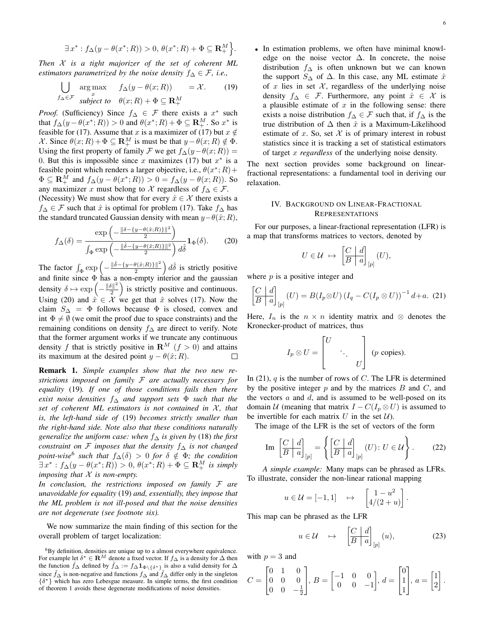$$
\exists x^*: f_{\Delta}(y-\theta(x^*;R))>0, \theta(x^*;R)+\Phi\subseteq \mathbf{R}_+^M.
$$

*Then* X *is a tight majorizer of the set of coherent ML estimators parametrized by the noise density*  $f_{\Delta} \in \mathcal{F}$ , *i.e.*,

$$
\bigcup_{f_{\Delta} \in \mathcal{F}} \operatorname*{arg\,max}_{\substack{x \\ \text{subject to} \quad \theta(x;R) + \Phi \subseteq \mathbf{R}^M_+}} = \mathcal{X}.
$$
 (19)

*Proof.* (Sufficiency) Since  $f_{\Delta} \in \mathcal{F}$  there exists a  $x^*$  such that  $f_{\Delta}(y - \theta(x^*; R)) > 0$  and  $\theta(x^*; R) + \Phi \subseteq \mathbf{R}_+^M$ . So  $x^*$  is feasible for (17). Assume that x is a maximizer of (17) but  $x \notin$ X. Since  $\theta(x;R) + \Phi \subseteq \mathbf{R}_+^M$  is must be that  $y - \theta(x;R) \notin \Phi$ . Using the first property of family F we get  $f_{\Delta}(y-\theta(x;R)) =$ 0. But this is impossible since x maximizes (17) but  $x^*$  is a feasible point which renders a larger objective, i.e.,  $\theta(x^*; R)$  +  $\Phi \subseteq \mathbf{R}_+^M$  and  $f_\Delta(y - \theta(x^*; R)) > 0 = f_\Delta(y - \theta(x; R))$ . So any maximizer x must belong to X regardless of  $f_ \Delta \in \mathcal{F}$ .

(Necessity) We must show that for every  $\hat{x} \in \mathcal{X}$  there exists a  $f_{\Delta} \in \mathcal{F}$  such that  $\hat{x}$  is optimal for problem (17). Take  $f_{\Delta}$  has the standard truncated Gaussian density with mean  $y-\theta(\hat{x}; R)$ ,

$$
f_{\Delta}(\delta) = \frac{\exp\left(-\frac{\|\delta - \{y - \theta(\hat{x};R)\}\|^2}{2}\right)}{\int_{\Phi} \exp\left(-\frac{\|\hat{\delta} - \{y - \theta(\hat{x};R)\}\|^2}{2}\right) d\hat{\delta}} \mathbf{1}_{\Phi}(\delta). \tag{20}
$$

The factor  $\int_{\Phi} \exp \left(-\frac{\|\hat{\delta}-\{y-\theta(\hat{x};R)\}\|^2}{2}\right)$  $\left( \frac{\theta(\hat{x};R)}{2} \right) d\hat{\delta}$  is strictly positive and finite since  $\Phi$  has a non-empty interior and the gaussian density  $\delta \mapsto \exp \left(-\frac{\|\delta\|^2}{2}\right)$  $\frac{|\delta||^2}{2}$  is strictly positive and continuous. Using (20) and  $\hat{x} \in \mathcal{X}$  we get that  $\hat{x}$  solves (17). Now the claim  $S_\Delta = \Phi$  follows because  $\Phi$  is closed, convex and int  $\Phi \neq \emptyset$  (we omit the proof due to space constraints) and the remaining conditions on density  $f_\Delta$  are direct to verify. Note that the former argument works if we truncate any continuous density f that is strictly positive in  $\mathbf{R}^M$  ( $f > 0$ ) and attains its maximum at the desired point  $y - \theta(\hat{x}; R)$ . П

Remark 1. *Simple examples show that the two new restrictions imposed on family* F *are actually necessary for equality* (19)*. If one of those conditions fails then there exist noise densities* f<sup>∆</sup> *and support sets* Φ *such that the set of coherent ML estimators is not contained in X, that is, the left-hand side of* (19) *becomes strictly smaller than the right-hand side. Note also that these conditions naturally generalize the uniform case: when* f<sup>∆</sup> *is given by* (18) *the first constraint on* F *imposes that the density* f<sup>∆</sup> *is not changed*  $point\text{-}wise^6$  such that  $f_\Delta(\delta) > 0$  for  $\delta \notin \Phi$ ; the condition  $\exists x^* : f_\Delta(y - \theta(x^*; R)) > 0, \, \theta(x^*; R) + \Phi \subseteq \mathbf{R}_+^M$  is simply *imposing that* X *is non-empty.*

*In conclusion, the restrictions imposed on family* F *are unavoidable for equality* (19) *and, essentially, they impose that the ML problem is not ill-posed and that the noise densities are not degenerate (see footnote six).*

We now summarize the main finding of this section for the overall problem of target localization:

- 6
- In estimation problems, we often have minimal knowledge on the noise vector  $\Delta$ . In concrete, the noise distribution  $f_\Delta$  is often unknown but we can known the support  $S_\Delta$  of  $\Delta$ . In this case, any ML estimate  $\hat{x}$ of x lies in set  $X$ , regardless of the underlying noise density  $f_{\Delta} \in \mathcal{F}$ . Furthermore, any point  $\hat{x} \in \mathcal{X}$  is a plausible estimate of  $x$  in the following sense: there exists a noise distribution  $f_{\Delta} \in \mathcal{F}$  such that, if  $f_{\Delta}$  is the true distribution of  $\Delta$  then  $\hat{x}$  is a Maximum-Likelihood estimate of x. So, set  $\mathcal X$  is of primary interest in robust statistics since it is tracking a set of statistical estimators of target x *regardless* of the underlying noise density.

The next section provides some background on linearfractional representations: a fundamental tool in deriving our relaxation.

## IV. BACKGROUND ON LINEAR-FRACTIONAL REPRESENTATIONS

For our purposes, a linear-fractional representation (LFR) is a map that transforms matrices to vectors, denoted by

$$
U \in \mathcal{U} \ \mapsto \ \left[\begin{array}{c|c} C & d \\ \hline B & a \end{array}\right]_{[p]}(U),
$$

where  $p$  is a positive integer and

$$
\begin{bmatrix} C & d \\ \hline B & a \end{bmatrix}_{[p]}(U) = B(I_p \otimes U) (I_q - C(I_p \otimes U))^{-1} d + a. (21)
$$

Here,  $I_n$  is the  $n \times n$  identity matrix and ⊗ denotes the Kronecker-product of matrices, thus

$$
I_p \otimes U = \begin{bmatrix} U & & \\ & \ddots & \\ & & U \end{bmatrix}
$$
 (*p* copies).

In (21),  $q$  is the number of rows of C. The LFR is determined by the positive integer  $p$  and by the matrices  $B$  and  $C$ , and the vectors  $a$  and  $d$ , and is assumed to be well-posed on its domain U (meaning that matrix  $I - C(I_p \otimes U)$  is assumed to be invertible for each matrix  $U$  in the set  $U$ ).

The image of the LFR is the set of vectors of the form

$$
\text{Im}\;\left[\frac{C}{B} \left| \frac{d}{a} \right|_{[p]} = \left\{ \left[\frac{C}{B} \left| \frac{d}{a} \right|_{[p]}(U) : U \in \mathcal{U} \right] \right\}.
$$
 (22)

*A simple example:* Many maps can be phrased as LFRs. To illustrate, consider the non-linear rational mapping

$$
u \in \mathcal{U} = [-1, 1] \quad \mapsto \quad \begin{bmatrix} 1 - u^2 \\ 4/(2 + u) \end{bmatrix}
$$

This map can be phrased as the LFR

$$
u \in \mathcal{U} \quad \mapsto \quad \left[\frac{C}{B} \left| \frac{d}{a}\right|_{[p]}(u), \tag{23}
$$

.

with  $p = 3$  and

$$
C = \begin{bmatrix} 0 & 1 & 0 \\ 0 & 0 & 0 \\ 0 & 0 & -\frac{1}{2} \end{bmatrix}, B = \begin{bmatrix} -1 & 0 & 0 \\ 0 & 0 & -1 \end{bmatrix}, d = \begin{bmatrix} 0 \\ 1 \\ 1 \end{bmatrix}, a = \begin{bmatrix} 1 \\ 2 \end{bmatrix}.
$$

<sup>&</sup>lt;sup>6</sup>By definition, densities are unique up to a almost everywhere equivalence. For example let  $\delta^* \in \mathbf{R}^M$  denote a fixed vector. If  $f_\Delta$  is a density for  $\Delta$  then the function  $\hat{f}_\Delta$  defined by  $\hat{f}_\Delta := f_\Delta \mathbf{1}_{\Phi \setminus {\delta^*}}$  is also a valid density for  $\Delta$ since  $\hat{f}$ ∆ is non-negative and functions  $f$ ∆ and  $\hat{f}$ ∆ differ only in the singleton {δ <sup>∗</sup>} which has zero Lebesgue measure. In simple terms, the first condition of theorem 1 avoids these degenerate modifications of noise densities.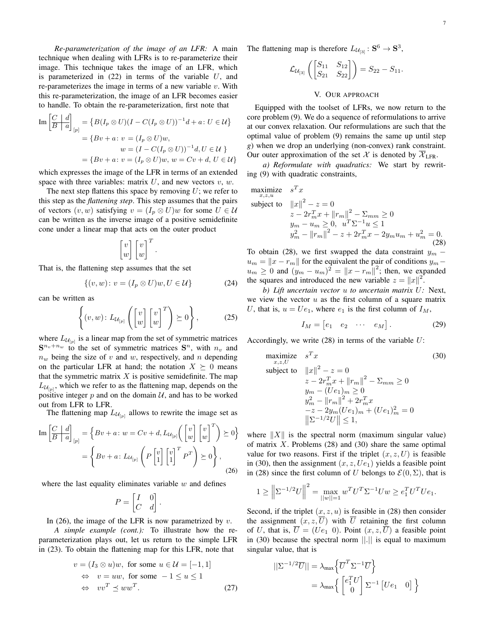*Re-parameterization of the image of an LFR:* A main technique when dealing with LFRs is to re-parameterize their image. This technique takes the image of an LFR, which is parameterized in  $(22)$  in terms of the variable U, and re-parameterizes the image in terms of a new variable  $v$ . With this re-parameterization, the image of an LFR becomes easier to handle. To obtain the re-parameterization, first note that

$$
\text{Im}\left[\frac{C}{B} \middle| \frac{d}{a}\right]_{[p]} = \left\{ B(I_p \otimes U)(I - C(I_p \otimes U))^{-1}d + a \colon U \in \mathcal{U} \right\}
$$
\n
$$
= \left\{ Bv + a \colon v = (I_p \otimes U)w,
$$
\n
$$
w = (I - C(I_p \otimes U))^{-1}d, U \in \mathcal{U} \right\}
$$
\n
$$
= \left\{ Bv + a \colon v = (I_p \otimes U)w, w = Cv + d, U \in \mathcal{U} \right\}
$$

which expresses the image of the LFR in terms of an extended space with three variables: matrix  $U$ , and new vectors  $v$ ,  $w$ .

The next step flattens this space by removing  $U$ ; we refer to this step as the *flattening step*. This step assumes that the pairs of vectors  $(v, w)$  satisfying  $v = (I_n \otimes U)w$  for some  $U \in \mathcal{U}$ can be written as the inverse image of a positive semidefinite cone under a linear map that acts on the outer product

$$
\begin{bmatrix} v \\ w \end{bmatrix} \begin{bmatrix} v \\ w \end{bmatrix}^T.
$$

That is, the flattening step assumes that the set

$$
\{(v, w): v = (I_p \otimes U)w, U \in \mathcal{U}\}\tag{24}
$$

can be written as

$$
\left\{ (v, w) \colon L_{\mathcal{U}_{[p]}} \left( \begin{bmatrix} v \\ w \end{bmatrix} \begin{bmatrix} v \\ w \end{bmatrix}^T \right) \succeq 0 \right\},\tag{25}
$$

where  $L_{\mathcal{U}_{[p]}}$  is a linear map from the set of symmetric matrices  $S^{n_v+n_w}$  to the set of symmetric matrices  $S^n$ , with  $n_v$  and  $n_w$  being the size of v and w, respectively, and n depending on the particular LFR at hand; the notation  $X \succeq 0$  means that the symmetric matrix  $X$  is positive semidefinite. The map  $L_{U_{[p]}}$ , which we refer to as the flattening map, depends on the positive integer  $p$  and on the domain  $U$ , and has to be worked out from LFR to LFR.

The flattening map  $L_{\mathcal{U}_{[p]}}$  allows to rewrite the image set as

$$
\text{Im}\left[\frac{C}{B} \middle| \frac{d}{a}\right]_{[p]} = \left\{ Bv + a \colon w = Cv + d, L_{\mathcal{U}_{[p]}}\left( \begin{bmatrix} v \\ w \end{bmatrix} \begin{bmatrix} v \\ w \end{bmatrix}^T \right) \succeq 0 \right\}
$$

$$
= \left\{ Bv + a \colon L_{\mathcal{U}_{[p]}}\left( P \begin{bmatrix} v \\ 1 \end{bmatrix} \begin{bmatrix} v \\ 1 \end{bmatrix}^T P^T \right) \succeq 0 \right\},\tag{26}
$$

where the last equality eliminates variable  $w$  and defines

$$
P = \begin{bmatrix} I & 0 \\ C & d \end{bmatrix}
$$

In (26), the image of the LFR is now parametrized by  $v$ .

*A simple example (cont.):* To illustrate how the reparameterization plays out, let us return to the simple LFR in (23). To obtain the flattening map for this LFR, note that

$$
v = (I_3 \otimes u)w, \text{ for some } u \in \mathcal{U} = [-1, 1]
$$
  
\n
$$
\Leftrightarrow v = uw, \text{ for some } -1 \le u \le 1
$$
  
\n
$$
\Leftrightarrow vv^T \le ww^T.
$$
 (27)

.

The flattening map is therefore  $L_{\mathcal{U}_{[3]}}: \mathbf{S}^6 \to \mathbf{S}^3$ ,

$$
\mathcal{L}_{\mathcal{U}_{[3]}}\left(\begin{bmatrix} S_{11} & S_{12} \\ S_{21} & S_{22} \end{bmatrix}\right) = S_{22} - S_{11}.
$$

## V. OUR APPROACH

Equipped with the toolset of LFRs, we now return to the core problem (9). We do a sequence of reformulations to arrive at our convex relaxation. Our reformulations are such that the optimal value of problem (9) remains the same up until step *g*) when we drop an underlying (non-convex) rank constraint. Our outer approximation of the set X is denoted by  $\overline{X}_{\text{LFR}}$ .

*a) Reformulate with quadratics:* We start by rewriting (9) with quadratic constraints,

maximize 
$$
s^T x
$$
  
\nsubject to  $||x||^2 - z = 0$   
\n $z - 2r_m^T x + ||r_m||^2 - \sum_{mm} \ge 0$   
\n $y_m - u_m \ge 0, \quad u^T \sum_{m} u_m \le 1$   
\n $y_m^2 - ||r_m||^2 - z + 2r_m^T x - 2y_m u_m + u_m^2 = 0.$  (28)

To obtain (28), we first swapped the data constraint  $y_m$  –  $u_m = ||x - r_m||$  for the equivalent the pair of conditions  $y_m$  –  $u_m \geq 0$  and  $(y_m - u_m)^2 = ||x - r_m||^2$ ; then, we expanded the squares and introduced the new variable  $z = ||x||^2$ .

*b) Lift uncertain vector* u *to uncertain matrix* U*:* Next, we view the vector  $u$  as the first column of a square matrix U, that is,  $u = Ue_1$ , where  $e_1$  is the first column of  $I_M$ ,

$$
I_M = \begin{bmatrix} e_1 & e_2 & \cdots & e_M \end{bmatrix} . \tag{29}
$$

Accordingly, we write  $(28)$  in terms of the variable  $U$ :

maximize 
$$
s^T x
$$
 (30)  
\nsubject to  $||x||^2 - z = 0$   
\n $z - 2r_m^T x + ||r_m||^2 - \sum_{mm} \ge 0$   
\n $y_m - (Ue_1)_m \ge 0$   
\n $y_m^2 - ||r_m||^2 + 2r_m^T x$   
\n $-z - 2y_m (Ue_1)_m + (Ue_1)_m^2 = 0$   
\n $||\Sigma^{-1/2}U|| \le 1,$ 

where  $||X||$  is the spectral norm (maximum singular value) of matrix  $X$ . Problems (28) and (30) share the same optimal value for two reasons. First if the triplet  $(x, z, U)$  is feasible in (30), then the assignment  $(x, z, Ue_1)$  yields a feasible point in (28) since the first column of U belongs to  $\mathcal{E}(0, \Sigma)$ , that is

$$
1 \ge \left\| \Sigma^{-1/2} U \right\|^2 = \max_{||w||=1} w^T U^T \Sigma^{-1} U w \ge e_1^T U^T U e_1.
$$

Second, if the triplet  $(x, z, u)$  is feasible in (28) then consider the assignment  $(x, z, \overline{U})$  with  $\overline{U}$  retaining the first column of U, that is,  $\overline{U} = (Ue_1 \ 0)$ . Point  $(x, z, \overline{U})$  a feasible point in  $(30)$  because the spectral norm  $\Vert . \Vert$  is equal to maximum singular value, that is

$$
||\Sigma^{-1/2}\overline{U}|| = \lambda_{\max} \left\{ \overline{U}^T \Sigma^{-1} \overline{U} \right\}
$$
  
=  $\lambda_{\max} \left\{ \begin{bmatrix} e_1^T U \\ 0 \end{bmatrix} \Sigma^{-1} \begin{bmatrix} U e_1 & 0 \end{bmatrix} \right\}$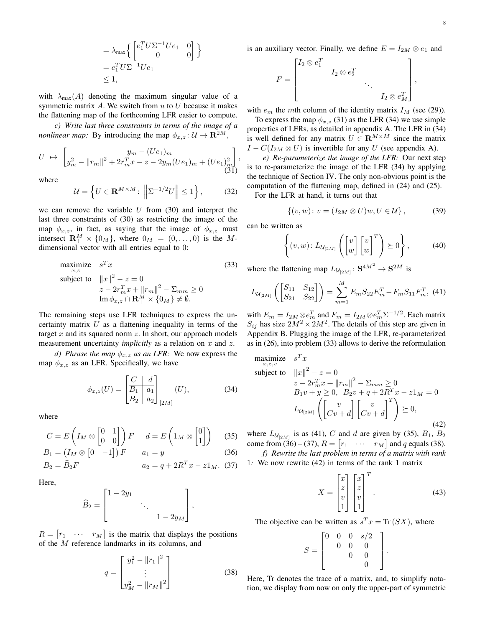$$
= \lambda_{\max} \left\{ \begin{bmatrix} e_1^T U \Sigma^{-1} U e_1 & 0 \\ 0 & 0 \end{bmatrix} \right\}
$$
  
=  $e_1^T U \Sigma^{-1} U e_1$   
 $\leq 1$ ,

with  $\lambda_{\text{max}}(A)$  denoting the maximum singular value of a symmetric matrix A. We switch from  $u$  to  $U$  because it makes the flattening map of the forthcoming LFR easier to compute.

*c) Write last three constraints in terms of the image of a nonlinear map:* By introducing the map  $\phi_{x,z} : \mathcal{U} \to \mathbf{R}^{2M}$ ,

$$
U \rightarrow \begin{bmatrix} y_m - (Ue_1)_m \\ y_m^2 - ||r_m||^2 + 2r_m^T x - z - 2y_m (Ue_1)_m + (Ue_1)_m^2 \end{bmatrix},
$$
\n(31)

where

$$
\mathcal{U} = \left\{ U \in \mathbf{R}^{M \times M} : \left\| \Sigma^{-1/2} U \right\| \le 1 \right\},\tag{32}
$$

we can remove the variable  $U$  from (30) and interpret the last three constraints of (30) as restricting the image of the map  $\phi_{x,z}$ , in fact, as saying that the image of  $\phi_{x,z}$  must intersect  $\mathbf{R}^M_+ \times \{0_M\}$ , where  $0_M = (0, \ldots, 0)$  is the Mdimensional vector with all entries equal to 0:

maximize 
$$
s^T x
$$
 (33)  
\nsubject to  $||x||^2 - z = 0$   
\n
$$
z - 2r_m^T x + ||r_m||^2 - \sum_{mn} \ge 0
$$
\n
$$
\operatorname{Im} \phi_{x,z} \cap \mathbf{R}_+^M \times \{0_M\} \neq \emptyset.
$$

The remaining steps use LFR techniques to express the uncertainty matrix  $U$  as a flattening inequality in terms of the target  $x$  and its squared norm  $z$ . In short, our approach models measurement uncertainty *implicitly* as a relation on x and z.

*d) Phrase the map*  $\phi_{x,z}$  *as an LFR:* We now express the map  $\phi_{x,z}$  as an LFR. Specifically, we have

$$
\phi_{x,z}(U) = \begin{bmatrix} C & d \\ B_1 & a_1 \\ B_2 & a_2 \end{bmatrix}_{[2M]} (U), \tag{34}
$$

where

$$
C = E\left(I_M \otimes \begin{bmatrix} 0 & 1 \\ 0 & 0 \end{bmatrix}\right) F \quad d = E\left(1_M \otimes \begin{bmatrix} 0 \\ 1 \end{bmatrix}\right) \tag{35}
$$

$$
B_1 = (I_M \otimes [0 \quad -1]) F \qquad a_1 = y \tag{36}
$$

$$
B_2 = \widehat{B}_2 F \qquad \qquad a_2 = q + 2R^T x - z1_M. \tag{37}
$$

Here,

$$
\widehat{B}_2 = \begin{bmatrix} 1 - 2y_1 & & & \\ & \ddots & & \\ & & 1 - 2y_M \end{bmatrix},
$$

 $R = \begin{bmatrix} r_1 & \cdots & r_M \end{bmatrix}$  is the matrix that displays the positions of the M reference landmarks in its columns, and

$$
q = \begin{bmatrix} y_1^2 - ||r_1||^2 \\ \vdots \\ y_M^2 - ||r_M||^2 \end{bmatrix}
$$
 (38)

is an auxiliary vector. Finally, we define  $E = I_{2M} \otimes e_1$  and

$$
F = \begin{bmatrix} I_2 \otimes e_1^T & & & \\ & I_2 \otimes e_2^T & & \\ & & \ddots & \\ & & & I_2 \otimes e_M^T \end{bmatrix},
$$

with  $e_m$  the mth column of the identity matrix  $I_M$  (see (29)).

To express the map  $\phi_{x,z}$  (31) as the LFR (34) we use simple properties of LFRs, as detailed in appendix A. The LFR in (34) is well defined for any matrix  $U \in \mathbf{R}^{M \times M}$  since the matrix  $I - C(I_{2M} \otimes U)$  is invertible for any U (see appendix A).

*e) Re-parameterize the image of the LFR:* Our next step is to re-parameterize the image of the LFR (34) by applying the technique of Section IV. The only non-obvious point is the computation of the flattening map, defined in (24) and (25).

For the LFR at hand, it turns out that

$$
\{(v, w): v = (I_{2M} \otimes U)w, U \in \mathcal{U}\},\tag{39}
$$

can be written as

$$
\left\{ (v, w) \colon L_{\mathcal{U}_{[2M]}} \left( \begin{bmatrix} v \\ w \end{bmatrix} \begin{bmatrix} v \\ w \end{bmatrix}^T \right) \succeq 0 \right\},\tag{40}
$$

where the flattening map  $L_{\mathcal{U}_{[2M]}}: \mathbf{S}^{4M^2} \to \mathbf{S}^{2M}$  is

$$
L_{\mathcal{U}_{[2M]}}\left(\begin{bmatrix} S_{11} & S_{12} \\ S_{21} & S_{22} \end{bmatrix}\right) = \sum_{m=1}^{M} E_m S_{22} E_m^T - F_m S_{11} F_m^T,\tag{41}
$$

with  $E_m = I_{2M} \otimes e_m^T$  and  $F_m = I_{2M} \otimes e_m^T \Sigma^{-1/2}$ . Each matrix  $S_{ij}$  has size  $2M^2 \times 2M^2$ . The details of this step are given in Appendix B. Plugging the image of the LFR, re-parameterized as in (26), into problem (33) allows to derive the reformulation

maximize 
$$
s^T x
$$
  
\nsubject to  $||x||^2 - z = 0$   
\n $z - 2r_m^T x + ||r_m||^2 - \sum_{mm} \ge 0$   
\n $B_1 v + y \ge 0, \ B_2 v + q + 2R^T x - z1_M = 0$   
\n $L_{U_{[2M]}} \left( \begin{bmatrix} v \\ Cv + d \end{bmatrix} \begin{bmatrix} v \\ Cv + d \end{bmatrix}^T \right) \succeq 0,$  (42)

where  $L_{\mathcal{U}_{[2M]}}$  is as (41), C and d are given by (35),  $B_1$ ,  $B_2$ come from (36) – (37),  $R = \begin{bmatrix} r_1 & \cdots & r_M \end{bmatrix}$  and q equals (38). *f) Rewrite the last problem in terms of a matrix with rank*

1*:* We now rewrite (42) in terms of the rank 1 matrix

$$
X = \begin{bmatrix} x \\ z \\ v \\ 1 \end{bmatrix} \begin{bmatrix} x \\ z \\ v \\ 1 \end{bmatrix}^T.
$$
 (43)

The objective can be written as  $s^T x = \text{Tr}(S X)$ , where

$$
S = \begin{bmatrix} 0 & 0 & 0 & s/2 \\ & 0 & 0 & 0 \\ & & 0 & 0 \\ & & & 0 \end{bmatrix}.
$$

Here, Tr denotes the trace of a matrix, and, to simplify notation, we display from now on only the upper-part of symmetric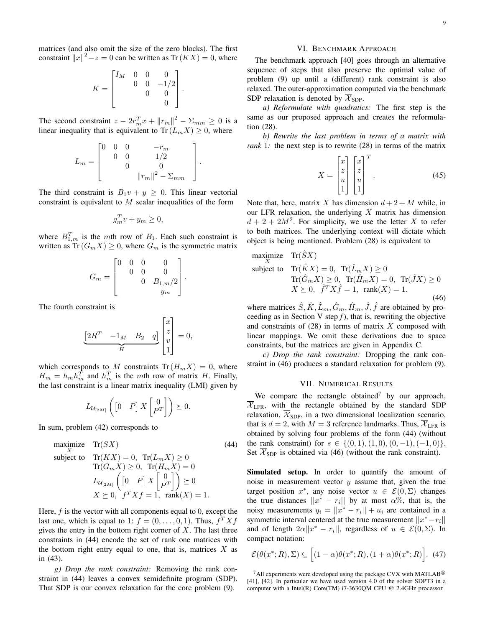matrices (and also omit the size of the zero blocks). The first constraint  $||x||^2 - z = 0$  can be written as Tr $(KX) = 0$ , where

$$
K = \begin{bmatrix} I_M & 0 & 0 & 0 \\ 0 & 0 & -1/2 \\ 0 & 0 & 0 \\ 0 & 0 & 0 \end{bmatrix}.
$$

The second constraint  $z - 2r_m^T x + ||r_m||^2 - \Sigma_{mm} \ge 0$  is a linear inequality that is equivalent to  $\text{Tr}(L_m X) \geq 0$ , where

> 1  $\overline{1}$  $\overline{1}$  $\overline{1}$ .

$$
L_m = \begin{bmatrix} 0 & 0 & 0 & -r_m \\ & 0 & 0 & 1/2 \\ & & 0 & 0 \\ & & & ||r_m||^2 - \Sigma_{mm} \end{bmatrix}
$$

The third constraint is  $B_1v + y \geq 0$ . This linear vectorial constraint is equivalent to  $M$  scalar inequalities of the form

$$
g_m^T v + y_m \ge 0,
$$

where  $B_{1,m}^T$  is the mth row of  $B_1$ . Each such constraint is written as Tr $(G_m X) \geq 0$ , where  $G_m$  is the symmetric matrix

$$
G_m = \begin{bmatrix} 0 & 0 & 0 & 0 \\ 0 & 0 & 0 & 0 \\ 0 & B_{1,m}/2 & 0 \\ y_m & 0 & 0 \end{bmatrix}.
$$

The fourth constraint is

$$
\underbrace{\begin{bmatrix} 2R^T & -1_M & B_2 & q \end{bmatrix}}_H \begin{bmatrix} x \\ z \\ v \\ 1 \end{bmatrix} = 0,
$$

which corresponds to M constraints  $Tr(H_mX) = 0$ , where  $H_m = h_m h_m^T$  and  $h_m^T$  is the mth row of matrix H. Finally, the last constraint is a linear matrix inequality (LMI) given by

$$
L_{\mathcal{U}_{[2M]}}\left( \begin{bmatrix} 0 & P \end{bmatrix} X \begin{bmatrix} 0 \\ P^T \end{bmatrix} \right) \succeq 0.
$$

In sum, problem (42) corresponds to

maximize 
$$
\text{Tr}(SX)
$$
 (44)  
\nsubject to  $\text{Tr}(KX) = 0$ ,  $\text{Tr}(L_m X) \ge 0$   
\n $\text{Tr}(G_m X) \ge 0$ ,  $\text{Tr}(H_m X) = 0$   
\n $L_{U_{[2M]}} \left( \begin{bmatrix} 0 & P \end{bmatrix} X \begin{bmatrix} 0 \\ P^T \end{bmatrix} \right) \succeq 0$   
\n $X \succeq 0$ ,  $f^T X f = 1$ , rank $(X) = 1$ .

Here,  $f$  is the vector with all components equal to 0, except the last one, which is equal to 1:  $f = (0, \ldots, 0, 1)$ . Thus,  $f^T X f$ gives the entry in the bottom right corner of  $X$ . The last three constraints in (44) encode the set of rank one matrices with the bottom right entry equal to one, that is, matrices  $X$  as in (43).

*g) Drop the rank constraint:* Removing the rank constraint in (44) leaves a convex semidefinite program (SDP). That SDP is our convex relaxation for the core problem (9).

## VI. BENCHMARK APPROACH

The benchmark approach [40] goes through an alternative sequence of steps that also preserve the optimal value of problem (9) up until a (different) rank constraint is also relaxed. The outer-approximation computed via the benchmark SDP relaxation is denoted by  $\overline{\mathcal{X}}_{SDP}$ .

*a) Reformulate with quadratics:* The first step is the same as our proposed approach and creates the reformulation (28).

*b) Rewrite the last problem in terms of a matrix with rank* 1*:* the next step is to rewrite (28) in terms of the matrix

$$
X = \begin{bmatrix} x \\ z \\ u \\ 1 \end{bmatrix} \begin{bmatrix} x \\ z \\ u \\ 1 \end{bmatrix}^T.
$$
 (45)

Note that, here, matrix X has dimension  $d+2+M$  while, in our LFR relaxation, the underlying  $X$  matrix has dimension  $d + 2 + 2M^2$ . For simplicity, we use the letter X to refer to both matrices. The underlying context will dictate which object is being mentioned. Problem (28) is equivalent to

maximize 
$$
\text{Tr}(\hat{S}X)
$$
  
\nsubject to  $\text{Tr}(\hat{K}X) = 0$ ,  $\text{Tr}(\hat{L}_m X) \ge 0$   
\n $\text{Tr}(\hat{G}_m X) \ge 0$ ,  $\text{Tr}(\hat{H}_m X) = 0$ ,  $\text{Tr}(\hat{J}X) \ge 0$   
\n $X \succeq 0$ ,  $\hat{f}^T X \hat{f} = 1$ , rank $(X) = 1$ . (46)

where matrices  $\hat{S}, \hat{K}, \hat{L}_m, \hat{G}_m, \hat{H}_m, \hat{J}, \hat{f}$  are obtained by proceeding as in Section V step  $f$ ), that is, rewriting the objective and constraints of  $(28)$  in terms of matrix X composed with linear mappings. We omit these derivations due to space constraints, but the matrices are given in Appendix C.

*c) Drop the rank constraint:* Dropping the rank constraint in (46) produces a standard relaxation for problem (9).

#### VII. NUMERICAL RESULTS

We compare the rectangle obtained<sup>7</sup> by our approach,  $\overline{\mathcal{X}}_{\text{LFR}}$ , with the rectangle obtained by the standard SDP relaxation,  $\overline{\mathcal{X}}_{SDP}$ , in a two dimensional localization scenario, that is  $d = 2$ , with  $M = 3$  reference landmarks. Thus,  $\overline{X}_{\text{LFR}}$  is obtained by solving four problems of the form (44) (without the rank constraint) for  $s \in \{(0,1), (1,0), (0,-1), (-1,0)\}.$ Set  $\mathcal{X}_{SDP}$  is obtained via (46) (without the rank constraint).

Simulated setup. In order to quantify the amount of noise in measurement vector  $y$  assume that, given the true target position  $x^*$ , any noise vector  $u \in \mathcal{E}(0, \Sigma)$  changes the true distances  $||x^* - r_i||$  by at most  $\alpha$ %, that is, the noisy measurements  $y_i = ||x^* - r_i|| + u_i$  are contained in a symmetric interval centered at the true measurement  $||x^* - r_i||$ and of length  $2\alpha||x^* - r_i||$ , regardless of  $u \in \mathcal{E}(0, \Sigma)$ . In compact notation:

$$
\mathcal{E}(\theta(x^*;R),\Sigma) \subseteq [(1-\alpha)\theta(x^*;R),(1+\alpha)\theta(x^*;R)]. \tag{47}
$$

 $7$ All experiments were developed using the package CVX with MATLAB $^{\circledR}$ [41], [42]. In particular we have used version 4.0 of the solver SDPT3 in a computer with a Intel(R) Core(TM) i7-3630QM CPU @ 2.4GHz processor.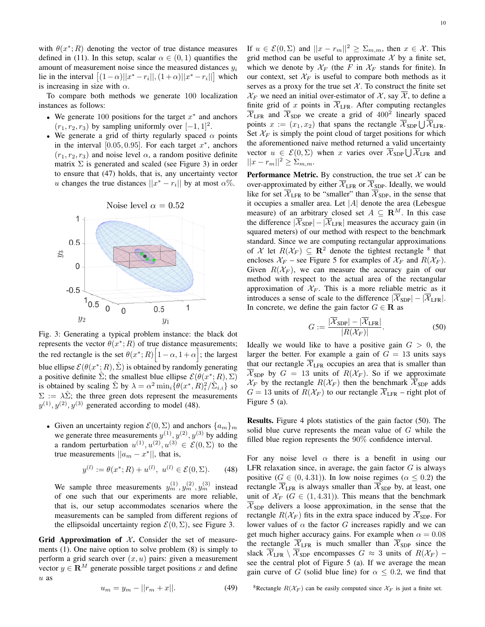with  $\theta(x^*; R)$  denoting the vector of true distance measures defined in (11). In this setup, scalar  $\alpha \in (0,1)$  quantifies the amount of measurement noise since the measured distances  $y_i$ lie in the interval  $\left[ (1 - \alpha) ||x^* - r_i||, (1 + \alpha) ||x^* - r_i|| \right]$  which is increasing in size with  $\alpha$ .

To compare both methods we generate 100 localization instances as follows:

- We generate 100 positions for the target  $x^*$  and anchors  $(r_1, r_2, r_3)$  by sampling uniformly over  $[-1, 1]^2$ .
- We generate a grid of thirty regularly spaced  $\alpha$  points in the interval  $[0.05, 0.95]$ . For each target  $x^*$ , anchors  $(r_1, r_2, r_3)$  and noise level  $\alpha$ , a random positive definite matrix  $\Sigma$  is generated and scaled (see Figure 3) in order to ensure that (47) holds, that is, any uncertainty vector u changes the true distances  $||x^* - r_i||$  by at most  $\alpha$ %.



Fig. 3: Generating a typical problem instance: the black dot represents the vector  $\theta(x^*;R)$  of true distance measurements; the red rectangle is the set  $\theta(x^*;R)$   $\left[1-\alpha,1+\alpha\right]$ ; the largest blue ellipse  $\mathcal{E}(\theta(x^*; R), \hat{\Sigma})$  is obtained by randomly generating a positive definite  $\hat{\Sigma}$ ; the smallest blue ellipse  $\mathcal{E}(\theta(x^*; R), \Sigma)$ is obtained by scaling  $\hat{\Sigma}$  by  $\lambda = \alpha^2 \min_i {\{\hat{\theta}(x^*, R)_i^2 / \hat{\Sigma}_{i,i}\}}$  so  $\Sigma := \lambda \hat{\Sigma}$ ; the three green dots represent the measurements  $y^{(1)}, y^{(2)}, y^{(3)}$  generated according to model (48).

• Given an uncertainty region  $\mathcal{E}(0, \Sigma)$  and anchors  $\{a_m\}_m$ we generate three measurements  $y^{(1)}, y^{(2)}, y^{(3)}$  by adding a random perturbation  $u^{(1)}, u^{(2)}, u^{(3)} \in \mathcal{E}(0,\Sigma)$  to the true measurements  $||a_m - x^*||$ , that is,

$$
y^{(l)} := \theta(x^*; R) + u^{(l)}, \ u^{(l)} \in \mathcal{E}(0, \Sigma). \tag{48}
$$

We sample three measurements  $y_m^{(1)}, y_m^{(2)}, y_m^{(3)}$  instead of one such that our experiments are more reliable, that is, our setup accommodates scenarios where the measurements can be sampled from different regions of the ellipsoidal uncertainty region  $\mathcal{E}(0, \Sigma)$ , see Figure 3.

Grid Approximation of  $X$ . Consider the set of measurements (1). One naive option to solve problem (8) is simply to perform a grid search over  $(x, u)$  pairs: given a measurement vector  $y \in \mathbf{R}^M$  generate possible target positions x and define u as

If  $u \in \mathcal{E}(0, \Sigma)$  and  $||x - r_m||^2 \ge \sum_{m,m}$ , then  $x \in \mathcal{X}$ . This grid method can be useful to approximate  $\mathcal X$  by a finite set, which we denote by  $\mathcal{X}_F$  (the F in  $\mathcal{X}_F$  stands for finite). In our context, set  $\mathcal{X}_F$  is useful to compare both methods as it serves as a proxy for the true set  $X$ . To construct the finite set  $\mathcal{X}_F$  we need an initial over-estimator of X, say X, to define a finite grid of x points in  $\overline{\mathcal{X}}_{\text{LFR}}$ . After computing rectangles  $\overline{\mathcal{X}}_{\text{LFR}}$  and  $\overline{\mathcal{X}}_{\text{SDP}}$  we create a grid of  $400^2$  linearly spaced points  $x := (x_1, x_2)$  that spans the rectangle  $\overline{\mathcal{X}}_{SDP} \bigcup \overline{\mathcal{X}}_{LFR}$ . Set  $X_F$  is simply the point cloud of target positions for which the aforementioned naive method returned a valid uncertainty vector  $u \in \mathcal{E}(0, \Sigma)$  when x varies over  $\overline{\mathcal{X}}_{SDP} \cup \overline{\mathcal{X}}_{LFR}$  and  $||x - r_m||^2 \geq \sum_{m,m}$ .

**Performance Metric.** By construction, the true set  $\mathcal{X}$  can be over-approximated by either  $\overline{\mathcal{X}}_{\text{LFR}}$  or  $\overline{\mathcal{X}}_{\text{SDP}}$ . Ideally, we would like for set  $\overline{\mathcal{X}}_{\text{LFR}}$  to be "smaller" than  $\overline{\mathcal{X}}_{\text{SDP}}$ , in the sense that it occupies a smaller area. Let  $|A|$  denote the area (Lebesgue measure) of an arbitrary closed set  $A \subseteq \mathbb{R}^M$ . In this case the difference  $|\overline{X}_{\text{SDP}}| - |\overline{X}_{\text{LFR}}|$  measures the accuracy gain (in squared meters) of our method with respect to the benchmark standard. Since we are computing rectangular approximations of X let  $R(\mathcal{X}_F) \subseteq \mathbb{R}^2$  denote the tightest rectangle  $\delta$  that encloses  $\mathcal{X}_F$  – see Figure 5 for examples of  $\mathcal{X}_F$  and  $R(\mathcal{X}_F)$ . Given  $R(\mathcal{X}_F)$ , we can measure the accuracy gain of our method with respect to the actual area of the rectangular approximation of  $X_F$ . This is a more reliable metric as it introduces a sense of scale to the difference  $|\overline{\mathcal{X}}_{SDP}| - |\overline{\mathcal{X}}_{LFR}|$ . In concrete, we define the gain factor  $G \in \mathbf{R}$  as

$$
G := \frac{|\overline{\mathcal{X}}_{\text{SDP}}| - |\overline{\mathcal{X}}_{\text{LFR}}|}{|R(\mathcal{X}_F)|}.
$$
 (50)

Ideally we would like to have a positive gain  $G > 0$ , the larger the better. For example a gain of  $G = 13$  units says that our rectangle  $\overline{\mathcal{X}}_{\text{LFR}}$  occupies an area that is smaller than  $\overline{\mathcal{X}}_{SDP}$  by  $G = 13$  units of  $R(\mathcal{X}_F)$ . So if we approximate  $\mathcal{X}_F$  by the rectangle  $R(\mathcal{X}_F)$  then the benchmark  $\overline{\mathcal{X}}_{\text{SDP}}$  adds  $G = 13$  units of  $R(\mathcal{X}_F)$  to our rectangle  $\overline{\mathcal{X}}_{\text{LFR}}$  – right plot of Figure 5 (a).

Results. Figure 4 plots statistics of the gain factor (50). The solid blue curve represents the mean value of G while the filled blue region represents the 90% confidence interval.

For any noise level  $\alpha$  there is a benefit in using our LFR relaxation since, in average, the gain factor  $G$  is always positive  $(G \in (0, 4.31))$ . In low noise regimes  $(\alpha \leq 0.2)$  the rectangle  $\overline{\mathcal{X}}_{\text{LFR}}$  is always smaller than  $\overline{\mathcal{X}}_{\text{SDP}}$  by, at least, one unit of  $\mathcal{X}_F$  ( $G \in (1, 4.31)$ ). This means that the benchmark  $\overline{\mathcal{X}}_{SDP}$  delivers a loose approximation, in the sense that the rectangle  $R(\mathcal{X}_F)$  fits in the extra space induced by  $\overline{\mathcal{X}}_{\text{SDP}}$ . For lower values of  $\alpha$  the factor G increases rapidly and we can get much higher accuracy gains. For example when  $\alpha = 0.08$ the rectangle  $\overline{\mathcal{X}}_{\text{LFR}}$  is much smaller than  $\overline{\mathcal{X}}_{\text{SDP}}$  since the slack  $\overline{\mathcal{X}}_{\text{LFR}} \setminus \overline{\mathcal{X}}_{\text{SDP}}$  encompasses  $G \approx 3$  units of  $R(\mathcal{X}_F)$  – see the central plot of Figure 5 (a). If we average the mean gain curve of G (solid blue line) for  $\alpha \leq 0.2$ , we find that

<sup>8</sup>Rectangle  $R(\mathcal{X}_F)$  can be easily computed since  $\mathcal{X}_F$  is just a finite set.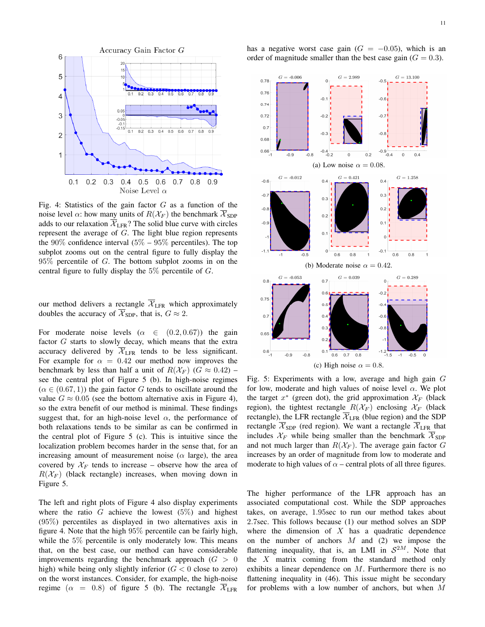

Fig. 4: Statistics of the gain factor  $G$  as a function of the noise level  $\alpha$ : how many units of  $R(\mathcal{X}_F)$  the benchmark  $\overline{\mathcal{X}}_{\text{SDP}}$ adds to our relaxation  $\overline{\mathcal{X}}_{\text{LFR}}$ ? The solid blue curve with circles represent the average of G. The light blue region represents the  $90\%$  confidence interval  $(5\% - 95\%$  percentiles). The top subplot zooms out on the central figure to fully display the  $95\%$  percentile of G. The bottom subplot zooms in on the central figure to fully display the  $5\%$  percentile of G.

our method delivers a rectangle  $\overline{\mathcal{X}}_{\text{LFR}}$  which approximately doubles the accuracy of  $\overline{\mathcal{X}}_{SDP}$ , that is,  $G \approx 2$ .

For moderate noise levels ( $\alpha \in (0.2, 0.67)$ ) the gain factor G starts to slowly decay, which means that the extra accuracy delivered by  $\overline{\mathcal{X}}_{\text{LFR}}$  tends to be less significant. For example for  $\alpha = 0.42$  our method now improves the benchmark by less than half a unit of  $R(\mathcal{X}_F)$  ( $G \approx 0.42$ ) – see the central plot of Figure 5 (b). In high-noise regimes  $(\alpha \in (0.67, 1))$  the gain factor G tends to oscillate around the value  $G \approx 0.05$  (see the bottom alternative axis in Figure 4), so the extra benefit of our method is minimal. These findings suggest that, for an high-noise level  $\alpha$ , the performance of both relaxations tends to be similar as can be confirmed in the central plot of Figure 5 (c). This is intuitive since the localization problem becomes harder in the sense that, for an increasing amount of measurement noise ( $\alpha$  large), the area covered by  $X_F$  tends to increase – observe how the area of  $R(\mathcal{X}_F)$  (black rectangle) increases, when moving down in Figure 5.

The left and right plots of Figure 4 also display experiments where the ratio G achieve the lowest  $(5\%)$  and highest (95%) percentiles as displayed in two alternatives axis in figure 4. Note that the high 95% percentile can be fairly high, while the 5% percentile is only moderately low. This means that, on the best case, our method can have considerable improvements regarding the benchmark approach  $(G > 0)$ high) while being only slightly inferior  $(G < 0$  close to zero) on the worst instances. Consider, for example, the high-noise regime ( $\alpha = 0.8$ ) of figure 5 (b). The rectangle  $\overline{\mathcal{X}}_{LFR}$  has a negative worst case gain  $(G = -0.05)$ , which is an order of magnitude smaller than the best case gain  $(G = 0.3)$ .



Fig. 5: Experiments with a low, average and high gain G for low, moderate and high values of noise level  $\alpha$ . We plot the target  $x^*$  (green dot), the grid approximation  $\mathcal{X}_F$  (black region), the tightest rectangle  $R(\mathcal{X}_F)$  enclosing  $\mathcal{X}_F$  (black rectangle), the LFR rectangle  $\overline{X}_{\text{LFR}}$  (blue region) and the SDP rectangle  $\overline{\mathcal{X}}_{\text{SDP}}$  (red region). We want a rectangle  $\overline{\mathcal{X}}_{\text{LFR}}$  that includes  $X_F$  while being smaller than the benchmark  $\overline{X}_{SDP}$ and not much larger than  $R(\mathcal{X}_F)$ . The average gain factor G increases by an order of magnitude from low to moderate and moderate to high values of  $\alpha$  – central plots of all three figures.

The higher performance of the LFR approach has an associated computational cost. While the SDP approaches takes, on average, 1.95sec to run our method takes about 2.7sec. This follows because (1) our method solves an SDP where the dimension of  $X$  has a quadratic dependence on the number of anchors  $M$  and (2) we impose the flattening inequality, that is, an LMI in  $S^{2M}$ . Note that the X matrix coming from the standard method only exhibits a linear dependence on M. Furthermore there is no flattening inequality in (46). This issue might be secondary for problems with a low number of anchors, but when M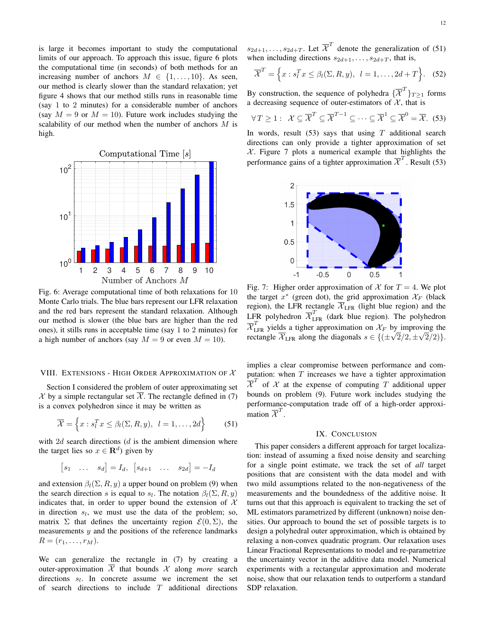is large it becomes important to study the computational limits of our approach. To approach this issue, figure 6 plots the computational time (in seconds) of both methods for an increasing number of anchors  $M \in \{1, \ldots, 10\}$ . As seen, our method is clearly slower than the standard relaxation; yet figure 4 shows that our method stills runs in reasonable time (say 1 to 2 minutes) for a considerable number of anchors (say  $M = 9$  or  $M = 10$ ). Future work includes studying the scalability of our method when the number of anchors M is high.



Fig. 6: Average computational time of both relaxations for 10 Monte Carlo trials. The blue bars represent our LFR relaxation and the red bars represent the standard relaxation. Although our method is slower (the blue bars are higher than the red ones), it stills runs in acceptable time (say 1 to 2 minutes) for a high number of anchors (say  $M = 9$  or even  $M = 10$ ).

## VIII. EXTENSIONS - HIGH ORDER APPROXIMATION OF  $X$

Section I considered the problem of outer approximating set X by a simple rectangular set  $\overline{\mathcal{X}}$ . The rectangle defined in (7) is a convex polyhedron since it may be written as

$$
\overline{\mathcal{X}} = \left\{ x : s_l^T x \le \beta_l(\Sigma, R, y), \ l = 1, \dots, 2d \right\}
$$
 (51)

with  $2d$  search directions ( $d$  is the ambient dimension where the target lies so  $x \in \mathbf{R}^d$ ) given by

$$
\begin{bmatrix} s_1 & \dots & s_d \end{bmatrix} = I_d, \begin{bmatrix} s_{d+1} & \dots & s_{2d} \end{bmatrix} = -I_d
$$

and extension  $\beta_l(\Sigma, R, y)$  a upper bound on problem (9) when the search direction s is equal to  $s_l$ . The notation  $\beta_l(\Sigma, R, y)$ indicates that, in order to upper bound the extension of  $\mathcal{X}$ in direction  $s_l$ , we must use the data of the problem; so, matrix  $\Sigma$  that defines the uncertainty region  $\mathcal{E}(0, \Sigma)$ , the measurements  $y$  and the positions of the reference landmarks  $R = (r_1, \ldots, r_M).$ 

We can generalize the rectangle in (7) by creating a outer-approximation  $X$  that bounds  $X$  along *more* search directions  $s_l$ . In concrete assume we increment the set of search directions to include  $T$  additional directions

 $s_{2d+1}, \ldots, s_{2d+T}$ . Let  $\overline{\mathcal{X}}^T$  denote the generalization of (51) when including directions  $s_{2d+1}, \ldots, s_{2d+T}$ , that is,

$$
\overline{\mathcal{X}}^T = \left\{ x : s_l^T x \le \beta_l(\Sigma, R, y), \ l = 1, \dots, 2d + T \right\}. \tag{52}
$$

By construction, the sequence of polyhedra  $\{\overline{\mathcal{X}}^T\}_{T\geq 1}$  forms a decreasing sequence of outer-estimators of  $X$ , that is

$$
\forall T \geq 1: \ \mathcal{X} \subseteq \overline{\mathcal{X}}^T \subseteq \overline{\mathcal{X}}^{T-1} \subseteq \cdots \subseteq \overline{\mathcal{X}}^1 \subseteq \overline{\mathcal{X}}^0 = \overline{\mathcal{X}}. \tag{53}
$$

In words, result  $(53)$  says that using T additional search directions can only provide a tighter approximation of set  $X$ . Figure 7 plots a numerical example that highlights the performance gains of a tighter approximation  $\overline{\chi}^T$ . Result (53)



Fig. 7: Higher order approximation of  $\mathcal X$  for  $T = 4$ . We plot the target  $x^*$  (green dot), the grid approximation  $\mathcal{X}_F$  (black region), the LFR rectangle  $X_{\text{LFR}}$  (light blue region) and the LFR polyhedron  $\overline{\mathcal{X}}_{\text{LFR}}^T$  (dark blue region). The polyhedron  $\overline{\mathcal{X}}_{\text{LFR}}^T$  yields a tigher approximation on  $\mathcal{X}_F$  by improving the rectangle  $\overline{\mathcal{X}}_{\text{LFR}}$  along the diagonals  $s \in \{(\pm \frac{1}{2}, \pm \frac{1}{2})$ √  $2/2, \pm$ √  $2/2)$ .

implies a clear compromise between performance and computation: when  $T$  increases we have a tighter approximation  $\overline{\mathcal{X}}^T$  of  $\mathcal X$  at the expense of computing T additional upper bounds on problem (9). Future work includes studying the performance-computation trade off of a high-order approximation  $\overline{\mathcal{X}}^T$ .

## IX. CONCLUSION

This paper considers a different approach for target localization: instead of assuming a fixed noise density and searching for a single point estimate, we track the set of *all* target positions that are consistent with the data model and with two mild assumptions related to the non-negativeness of the measurements and the boundedness of the additive noise. It turns out that this approach is equivalent to tracking the set of ML estimators parametrized by different (unknown) noise densities. Our approach to bound the set of possible targets is to design a polyhedral outer approximation, which is obtained by relaxing a non-convex quadratic program. Our relaxation uses Linear Fractional Representations to model and re-parametrize the uncertainty vector in the additive data model. Numerical experiments with a rectangular approximation and moderate noise, show that our relaxation tends to outperform a standard SDP relaxation.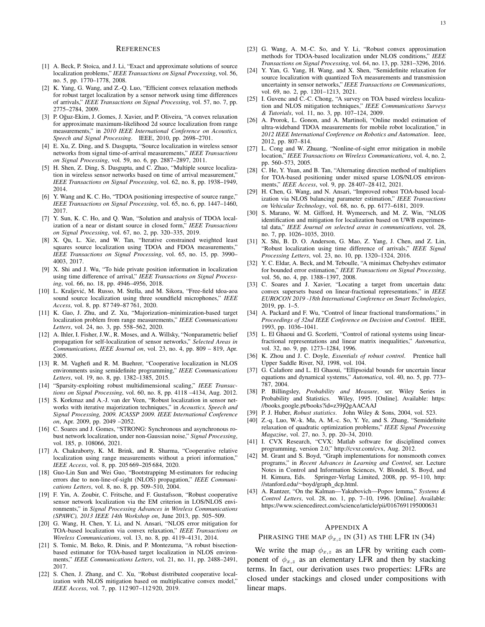#### **REFERENCES**

- [1] A. Beck, P. Stoica, and J. Li, "Exact and approximate solutions of source localization problems," *IEEE Transactions on Signal Processing*, vol. 56, no. 5, pp. 1770–1778, 2008.
- [2] K. Yang, G. Wang, and Z.-Q. Luo, "Efficient convex relaxation methods for robust target localization by a sensor network using time differences of arrivals," *IEEE Transactions on Signal Processing*, vol. 57, no. 7, pp. 2775–2784, 2009.
- [3] P. Oğuz-Ekim, J. Gomes, J. Xavier, and P. Oliveira, "A convex relaxation for approximate maximum-likelihood 2d source localization from range measurements," in *2010 IEEE International Conference on Acoustics, Speech and Signal Processing*. IEEE, 2010, pp. 2698–2701.
- [4] E. Xu, Z. Ding, and S. Dasgupta, "Source localization in wireless sensor networks from signal time-of-arrival measurements," *IEEE Transactions on Signal Processing*, vol. 59, no. 6, pp. 2887–2897, 2011.
- [5] H. Shen, Z. Ding, S. Dasgupta, and C. Zhao, "Multiple source localization in wireless sensor networks based on time of arrival measurement," *IEEE Transactions on Signal Processing*, vol. 62, no. 8, pp. 1938–1949, 2014.
- [6] Y. Wang and K. C. Ho, "TDOA positioning irrespective of source range," *IEEE Transactions on Signal Processing*, vol. 65, no. 6, pp. 1447–1460, 2017.
- [7] Y. Sun, K. C. Ho, and Q. Wan, "Solution and analysis of TDOA localization of a near or distant source in closed form," *IEEE Transactions on Signal Processing*, vol. 67, no. 2, pp. 320–335, 2019.
- [8] X. Qu, L. Xie, and W. Tan, "Iterative constrained weighted least squares source localization using TDOA and FDOA measurements," *IEEE Transactions on Signal Processing*, vol. 65, no. 15, pp. 3990– 4003, 2017.
- [9] X. Shi and J. Wu, "To hide private position information in localization using time difference of arrival," *IEEE Transactions on Signal Processing*, vol. 66, no. 18, pp. 4946–4956, 2018.
- [10] L. Kraljević, M. Russo, M. Stella, and M. Sikora, "Free-field tdoa-aoa sound source localization using three soundfield microphones," *IEEE Access*, vol. 8, pp. 87 749–87 761, 2020.
- [11] K. Gao, J. Zhu, and Z. Xu, "Majorization–minimization-based target localization problem from range measurements," *IEEE Communications Letters*, vol. 24, no. 3, pp. 558–562, 2020.
- [12] A. Ihler, I. Fisher, J.W., R. Moses, and A. Willsky, "Nonparametric belief propagation for self-localization of sensor networks," *Selected Areas in Communications, IEEE Journal on*, vol. 23, no. 4, pp. 809 – 819, Apr. 2005.
- [13] R. M. Vaghefi and R. M. Buehrer, "Cooperative localization in NLOS environments using semidefinite programming," *IEEE Communications Letters*, vol. 19, no. 8, pp. 1382–1385, 2015.
- [14] "Sparsity-exploiting robust multidimensional scaling," *IEEE Transactions on Signal Processing*, vol. 60, no. 8, pp. 4118 –4134, Aug. 2012.
- [15] S. Korkmaz and A.-J. van der Veen, "Robust localization in sensor networks with iterative majorization techniques," in *Acoustics, Speech and Signal Processing, 2009. ICASSP 2009. IEEE International Conference on*, Apr. 2009, pp. 2049 –2052.
- [16] C. Soares and J. Gomes, "STRONG: Synchronous and asynchronous robust network localization, under non-Gaussian noise," *Signal Processing*, vol. 185, p. 108066, 2021.
- [17] A. Chakraborty, K. M. Brink, and R. Sharma, "Cooperative relative localization using range measurements without a priori information," *IEEE Access*, vol. 8, pp. 205 669–205 684, 2020.
- [18] Guo-Lin Sun and Wei Guo, "Bootstrapping M-estimators for reducing errors due to non-line-of-sight (NLOS) propagation," *IEEE Communications Letters*, vol. 8, no. 8, pp. 509–510, 2004.
- [19] F. Yin, A. Zoubir, C. Fritsche, and F. Gustafsson, "Robust cooperative sensor network localization via the EM criterion in LOS/NLOS environments," in *Signal Processing Advances in Wireless Communications (SPAWC), 2013 IEEE 14th Workshop on*, June 2013, pp. 505–509.
- [20] G. Wang, H. Chen, Y. Li, and N. Ansari, "NLOS error mitigation for TOA-based localization via convex relaxation," *IEEE Transactions on Wireless Communications*, vol. 13, no. 8, pp. 4119–4131, 2014.
- [21] S. Tomic, M. Beko, R. Dinis, and P. Montezuma, "A robust bisectionbased estimator for TOA-based target localization in NLOS environments," *IEEE Communications Letters*, vol. 21, no. 11, pp. 2488–2491, 2017.
- [22] S. Chen, J. Zhang, and C. Xu, "Robust distributed cooperative localization with NLOS mitigation based on multiplicative convex model, *IEEE Access*, vol. 7, pp. 112 907–112 920, 2019.
- [23] G. Wang, A. M.-C. So, and Y. Li, "Robust convex approximation methods for TDOA-based localization under NLOS conditions," *IEEE Transactions on Signal Processing*, vol. 64, no. 13, pp. 3281–3296, 2016.
- [24] Y. Yan, G. Yang, H. Wang, and X. Shen, "Semidefinite relaxation for source localization with quantized ToA measurements and transmission uncertainty in sensor networks," *IEEE Transactions on Communications*, vol. 69, no. 2, pp. 1201–1213, 2021.
- [25] I. Guvenc and C.-C. Chong, "A survey on TOA based wireless localization and NLOS mitigation techniques," *IEEE Communications Surveys & Tutorials*, vol. 11, no. 3, pp. 107–124, 2009.
- [26] A. Prorok, L. Gonon, and A. Martinoli, "Online model estimation of ultra-wideband TDOA measurements for mobile robot localization," in *2012 IEEE International Conference on Robotics and Automation*. Ieee, 2012, pp. 807–814.
- [27] L. Cong and W. Zhuang, "Nonline-of-sight error mitigation in mobile location," *IEEE Transactions on Wireless Communications*, vol. 4, no. 2, pp. 560–573, 2005.
- [28] C. He, Y. Yuan, and B. Tan, "Alternating direction method of multipliers for TOA-based positioning under mixed sparse LOS/NLOS environments," *IEEE Access*, vol. 9, pp. 28 407–28 412, 2021.
- [29] H. Chen, G. Wang, and N. Ansari, "Improved robust TOA-based localization via NLOS balancing parameter estimation," *IEEE Transactions on Vehicular Technology*, vol. 68, no. 6, pp. 6177–6181, 2019.
- [30] S. Marano, W. M. Gifford, H. Wymeersch, and M. Z. Win, "NLOS identification and mitigation for localization based on UWB experimental data," *IEEE Journal on selected areas in communications*, vol. 28, no. 7, pp. 1026–1035, 2010.
- [31] X. Shi, B. D. O. Anderson, G. Mao, Z. Yang, J. Chen, and Z. Lin, "Robust localization using time difference of arrivals," *IEEE Signal Processing Letters*, vol. 23, no. 10, pp. 1320–1324, 2016.
- [32] Y. C. Eldar, A. Beck, and M. Teboulle, "A minimax Chebyshev estimator for bounded error estimation," *IEEE Transactions on Signal Processing*, vol. 56, no. 4, pp. 1388–1397, 2008.
- [33] C. Soares and J. Xavier, "Locating a target from uncertain data: convex supersets based on linear-fractional representations," in *IEEE EUROCON 2019 -18th International Conference on Smart Technologies*, 2019, pp. 1–5.
- [34] A. Packard and F. Wu, "Control of linear fractional transformations," in *Proceedings of 32nd IEEE Conference on Decision and Control*. IEEE, 1993, pp. 1036–1041.
- [35] L. El Ghaoui and G. Scorletti, "Control of rational systems using linearfractional representations and linear matrix inequalities," *Automatica*, vol. 32, no. 9, pp. 1273–1284, 1996.
- [36] K. Zhou and J. C. Doyle, *Essentials of robust control*. Prentice hall Upper Saddle River, NJ, 1998, vol. 104.
- [37] G. Calafiore and L. El Ghaoui, "Ellipsoidal bounds for uncertain linear equations and dynamical systems," *Automatica*, vol. 40, no. 5, pp. 773– 787, 2004.
- [38] P. Billingsley, *Probability and Measure*, ser. Wiley Series in Probability and Statistics. Wiley, 1995. [Online]. Available: https: //books.google.pt/books?id=z39jQgAACAAJ
- [39] P. J. Huber, *Robust statistics*. John Wiley & Sons, 2004, vol. 523.
- [40] Z.-q. Luo, W.-k. Ma, A. M.-c. So, Y. Ye, and S. Zhang, "Semidefinite relaxation of quadratic optimization problems," *IEEE Signal Processing Magazine*, vol. 27, no. 3, pp. 20–34, 2010.
- [41] I. CVX Research, "CVX: Matlab software for disciplined convex programming, version 2.0," http://cvxr.com/cvx, Aug. 2012.
- [42] M. Grant and S. Boyd, "Graph implementations for nonsmooth convex programs," in *Recent Advances in Learning and Control*, ser. Lecture Notes in Control and Information Sciences, V. Blondel, S. Boyd, and H. Kimura, Eds. Springer-Verlag Limited, 2008, pp. 95–110, http: //stanford.edu/∼boyd/graph dcp.html.
- [43] A. Rantzer, "On the Kalman—Yakubovich—Popov lemma," *Systems & Control Letters*, vol. 28, no. 1, pp. 7–10, 1996. [Online]. Available: https://www.sciencedirect.com/science/article/pii/0167691195000631

## APPENDIX A

#### PHRASING THE MAP  $\phi_{x,z}$  IN (31) AS THE LFR IN (34)

We write the map  $\phi_{x,z}$  as an LFR by writing each component of  $\phi_{x,z}$  as an elementary LFR and then by stacking terms. In fact, our derivation uses two properties: LFRs are closed under stackings and closed under compositions with linear maps.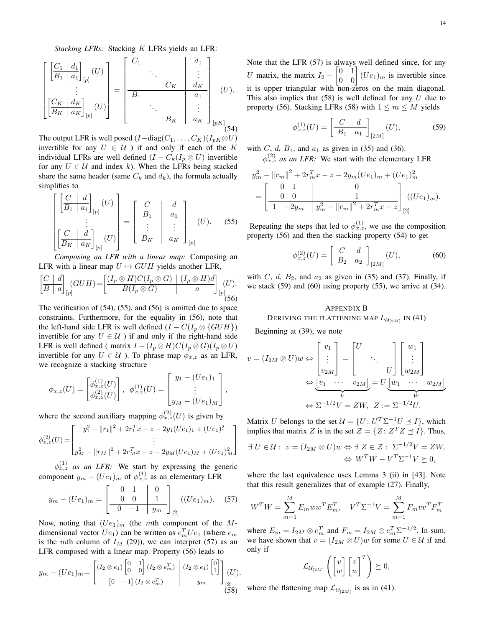*Stacking LFRs:* Stacking K LFRs yields an LFR:

$$
\begin{bmatrix}\n\begin{bmatrix}\nC_1 & d_1 \\
\overline{B_1} & a_1\n\end{bmatrix}_{[p]}(U) \\
\vdots \\
\begin{bmatrix}\nC_K & d_K \\
\overline{B_K & a_K}\n\end{bmatrix}_{[p]}(U)\n\end{bmatrix} = \begin{bmatrix}\nC_1 & & & d_1 \\
\vdots & & \ddots & \vdots \\
\overline{B_1} & & & a_1 & \vdots \\
\vdots & & & \ddots & \vdots \\
\overline{B_K} & & a_K & \vdots \\
\end{bmatrix}_{[pK]}(U).
$$
\n
$$
B_K \begin{bmatrix}\nC_K & d_K \\
\vdots \\
a_K & a_K\n\end{bmatrix}_{[pK]}(54)
$$

The output LFR is well posed  $(I-\text{diag}(C_1,\ldots,C_K)(I_{pK}\otimes U)$ invertible for any  $U \in \mathcal{U}$  ) if and only if each of the K individual LFRs are well defined  $(I - C_k(I_p \otimes U))$  invertible for any  $U \in \mathcal{U}$  and index k). When the LFRs being stacked share the same header (same  $C_k$  and  $d_k$ ), the formula actually simplifies to

$$
\begin{bmatrix}\nC & d \\
\overline{B_1 & a_1} \\
\vdots \\
\overline{B_K & a_K}\n\end{bmatrix}_{[p]}(U)\n=\n\begin{bmatrix}\nC & d \\
\overline{B_1} & a_1 \\
\vdots & \vdots \\
\overline{B_K} & a_K\n\end{bmatrix}_{[p]}(U).
$$
\n(55)

*Composing an LFR with a linear map:* Composing an LFR with a linear map  $U \mapsto GUH$  yields another LFR,

$$
\left[\frac{C}{B} \mid a\right]_{[p]} (G U H) = \left[\frac{(I_p \otimes H) C (I_p \otimes G)}{B (I_p \otimes G)} \mid \frac{(I_p \otimes H) d}{a}\right]_{[p]} (U).
$$
\n(56)

The verification of (54), (55), and (56) is omitted due to space constraints. Furthermore, for the equality in (56), note that the left-hand side LFR is well defined  $(I - C(I_p \otimes \{GUH\})$ invertible for any  $U \in \mathcal{U}$  ) if and only if the right-hand side LFR is well defined ( matrix  $I - (I_p \otimes H)C(I_p \otimes G)(I_p \otimes U)$ invertible for any  $U \in \mathcal{U}$  ). To phrase map  $\phi_{x,z}$  as an LFR, we recognize a stacking structure

$$
\phi_{x,z}(U) = \begin{bmatrix} \phi_{x,z}^{(1)}(U) \\ \phi_{x,z}^{(2)}(U) \end{bmatrix}, \ \phi_{x,z}^{(1)}(U) = \begin{bmatrix} y_1 - (Ue_1)_1 \\ \vdots \\ y_M - (Ue_1)_M \end{bmatrix},
$$

where the second auxiliary mapping  $\phi_{x,z}^{(2)}(U)$  is given by

$$
\phi_{x,z}^{(2)}(U) = \begin{bmatrix} y_1^2 - ||r_1||^2 + 2r_1^T x - z - 2y_1 (Ue_1)_1 + (Ue_1)_1^2 \\ \vdots \\ y_M^2 - ||r_M||^2 + 2r_M^T x - z - 2y_M (Ue_1)_M + (Ue_1)_M^2 \end{bmatrix}.
$$

 $\phi_{x,z}^{(1)}$  *as an LFR:* We start by expressing the generic component  $y_m - (Ue_1)_m$  of  $\phi_{x,z}^{(1)}$  as an elementary LFR

$$
y_m - (Ue_1)_m = \begin{bmatrix} 0 & 1 & 0 \\ 0 & 0 & 1 \\ \hline 0 & -1 & y_m \end{bmatrix} (Ue_1)_m.
$$
 (57)

Now, noting that  $(Ue_1)_m$  (the mth component of the Mdimensional vector  $Ue_1$ ) can be written as  $e_m^T Ue_1$  (where  $e_m$ is the mth column of  $I_M$  (29)), we can interpret (57) as an LFR composed with a linear map. Property (56) leads to

$$
y_m - (Ue_1)_m = \left[ \frac{(I_2 \otimes e_1) \begin{bmatrix} 0 & 1 \\ 0 & 0 \end{bmatrix} (I_2 \otimes e_m^T) \begin{bmatrix} (I_2 \otimes e_1) & 0 \\ 0 & 1 \end{bmatrix} \begin{bmatrix} 0 \\ 1 \end{bmatrix}}{[0 \ -1] (I_2 \otimes e_m^T) \begin{bmatrix} 0 \\ y_m \end{bmatrix}} \right]_{\begin{bmatrix} 2 \\ 2 \end{bmatrix}} (U).
$$

Note that the LFR (57) is always well defined since, for any U matrix, the matrix  $I_2 - \begin{bmatrix} 0 & 1 \\ 0 & 0 \end{bmatrix} (Ue_1)_m$  is invertible since it is upper triangular with non-zeros on the main diagonal. This also implies that  $(58)$  is well defined for any U due to property (56). Stacking LFRs (58) with  $1 \le m \le M$  yields

$$
\phi_{x,z}^{(1)}(U) = \left[\begin{array}{c|c} C & d \\ \hline B_1 & a_1 \end{array}\right]_{[2M]}(U),\tag{59}
$$

with C, d,  $B_1$ , and  $a_1$  as given in (35) and (36).  $\phi_{x,z}^{(2)}$  *as an LFR*: We start with the elementary LFR

$$
y_m^2 - ||r_m||^2 + 2r_m^T x - z - 2y_m (Ue_1)_m + (Ue_1)_m^2
$$
  
= 
$$
\begin{bmatrix} 0 & 1 & 0 \ 0 & 0 & 1 \ \hline 1 & -2y_m & y_m^2 - ||r_m||^2 + 2r_m^T x - z \end{bmatrix} \begin{bmatrix} (Ue_1)_m \\ (Ue_1)_m \end{bmatrix}.
$$

Repeating the steps that led to  $\phi_{x,z}^{(1)}$ , we use the composition property (56) and then the stacking property (54) to get

$$
\phi_{x,z}^{(2)}(U) = \left[\begin{array}{c|c} C & d \\ \hline B_2 & a_2 \end{array}\right]_{[2M]}(U),\tag{60}
$$

with C, d,  $B_2$ , and  $a_2$  as given in (35) and (37). Finally, if we stack  $(59)$  and  $(60)$  using property  $(55)$ , we arrive at  $(34)$ .

## APPENDIX B DERIVING THE FLATTENING MAP  $L_{\mathcal{U}_{[2M]}}$  in (41)

Beginning at (39), we note

$$
v = (I_{2M} \otimes U)w \Leftrightarrow \begin{bmatrix} v_1 \\ \vdots \\ v_{2M} \end{bmatrix} = \begin{bmatrix} U \\ & \ddots \\ & & U \end{bmatrix} \begin{bmatrix} w_1 \\ \vdots \\ w_{2M} \end{bmatrix}
$$

$$
\Leftrightarrow \underbrace{v_1 \cdots v_{2M}}_{V} = U \underbrace{w_1 \cdots w_{2M}}_{W}
$$

$$
\Leftrightarrow \Sigma^{-1/2}V = ZW, \ Z := \Sigma^{-1/2}U.
$$

Matrix U belongs to the set  $U = \{U : U^T \Sigma^{-1} U \leq I\}$ , which implies that matrix Z is in the set  $\mathcal{Z} = \{Z : Z^T Z \preceq I\}$ . Thus,

$$
\exists U \in \mathcal{U}: v = (I_{2M} \otimes U)w \Leftrightarrow \exists Z \in \mathcal{Z}: \Sigma^{-1/2}V = ZW, \Leftrightarrow W^T W - V^T \Sigma^{-1} V \succeq 0,
$$

where the last equivalence uses Lemma 3 (ii) in [43]. Note that this result generalizes that of example (27). Finally,

$$
WTW = \sum_{m=1}^{M} E_m w wT E_mT, \quad VT \Sigma-1 V = \sum_{m=1}^{M} F_m v vT F_mT
$$

where  $E_m = I_{2M} \otimes e_m^T$  and  $F_m = I_{2M} \otimes e_m^T \Sigma^{-1/2}$ . In sum, we have shown that  $v = (I_{2M} \otimes U)w$  for some  $U \in \mathcal{U}$  if and only if

$$
\mathcal{L}_{\mathcal{U}_{[2M]}}\left(\begin{bmatrix}v\\w\end{bmatrix}\begin{bmatrix}v\\w\end{bmatrix}^T\right)\succeq 0,
$$

where the flattening map  $\mathcal{L}_{\mathcal{U}_{[2M]}}$  is as in (41).